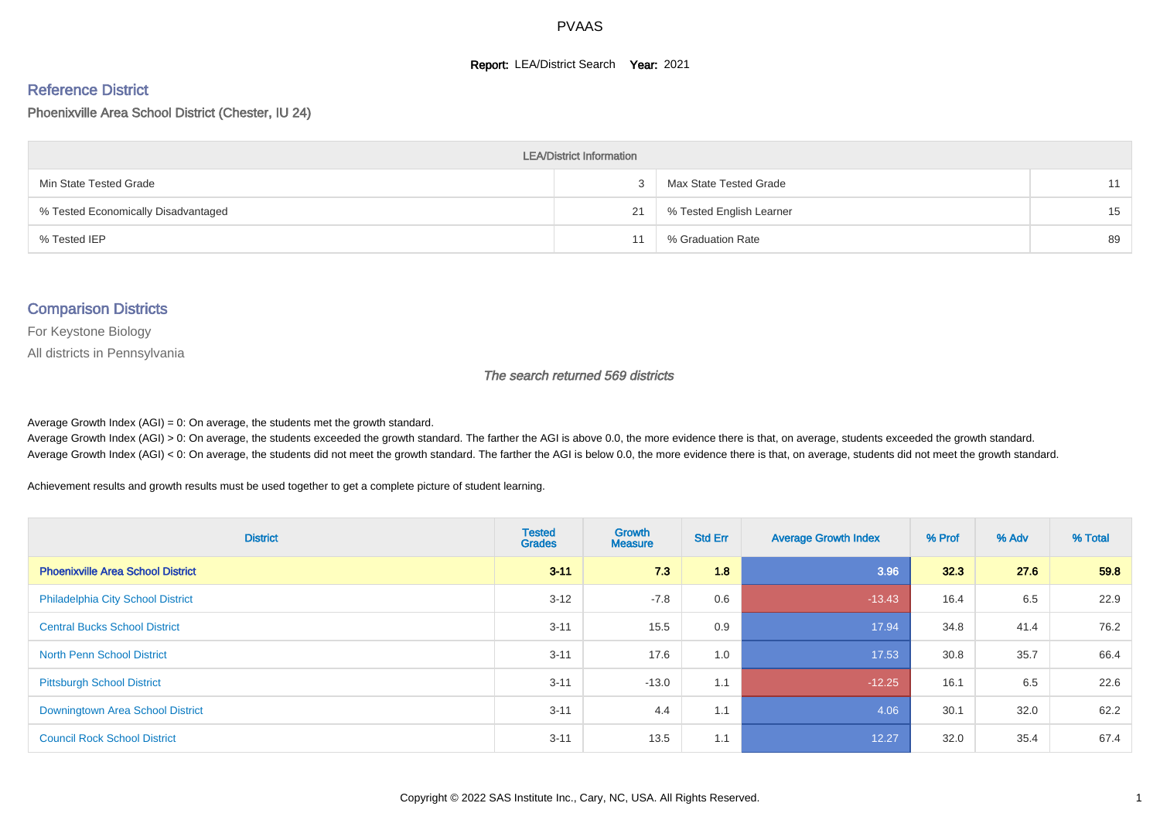#### **Report: LEA/District Search Year: 2021**

#### Reference District

Phoenixville Area School District (Chester, IU 24)

| <b>LEA/District Information</b>     |    |                          |    |  |  |  |  |  |  |  |
|-------------------------------------|----|--------------------------|----|--|--|--|--|--|--|--|
| Min State Tested Grade              |    | Max State Tested Grade   | 11 |  |  |  |  |  |  |  |
| % Tested Economically Disadvantaged | 21 | % Tested English Learner | 15 |  |  |  |  |  |  |  |
| % Tested IEP                        |    | % Graduation Rate        | 89 |  |  |  |  |  |  |  |

#### Comparison Districts

For Keystone Biology

All districts in Pennsylvania

The search returned 569 districts

Average Growth Index  $(AGI) = 0$ : On average, the students met the growth standard.

Average Growth Index (AGI) > 0: On average, the students exceeded the growth standard. The farther the AGI is above 0.0, the more evidence there is that, on average, students exceeded the growth standard. Average Growth Index (AGI) < 0: On average, the students did not meet the growth standard. The farther the AGI is below 0.0, the more evidence there is that, on average, students did not meet the growth standard.

Achievement results and growth results must be used together to get a complete picture of student learning.

| <b>District</b>                          | <b>Tested</b><br><b>Grades</b> | <b>Growth</b><br><b>Measure</b> | <b>Std Err</b> | <b>Average Growth Index</b> | % Prof | % Adv | % Total |
|------------------------------------------|--------------------------------|---------------------------------|----------------|-----------------------------|--------|-------|---------|
| <b>Phoenixville Area School District</b> | $3 - 11$                       | 7.3                             | 1.8            | 3.96                        | 32.3   | 27.6  | 59.8    |
| <b>Philadelphia City School District</b> | $3 - 12$                       | $-7.8$                          | 0.6            | $-13.43$                    | 16.4   | 6.5   | 22.9    |
| <b>Central Bucks School District</b>     | $3 - 11$                       | 15.5                            | 0.9            | 17.94                       | 34.8   | 41.4  | 76.2    |
| <b>North Penn School District</b>        | $3 - 11$                       | 17.6                            | 1.0            | 17.53                       | 30.8   | 35.7  | 66.4    |
| <b>Pittsburgh School District</b>        | $3 - 11$                       | $-13.0$                         | 1.1            | $-12.25$                    | 16.1   | 6.5   | 22.6    |
| Downingtown Area School District         | $3 - 11$                       | 4.4                             | 1.1            | 4.06                        | 30.1   | 32.0  | 62.2    |
| <b>Council Rock School District</b>      | $3 - 11$                       | 13.5                            | 1.1            | 12.27                       | 32.0   | 35.4  | 67.4    |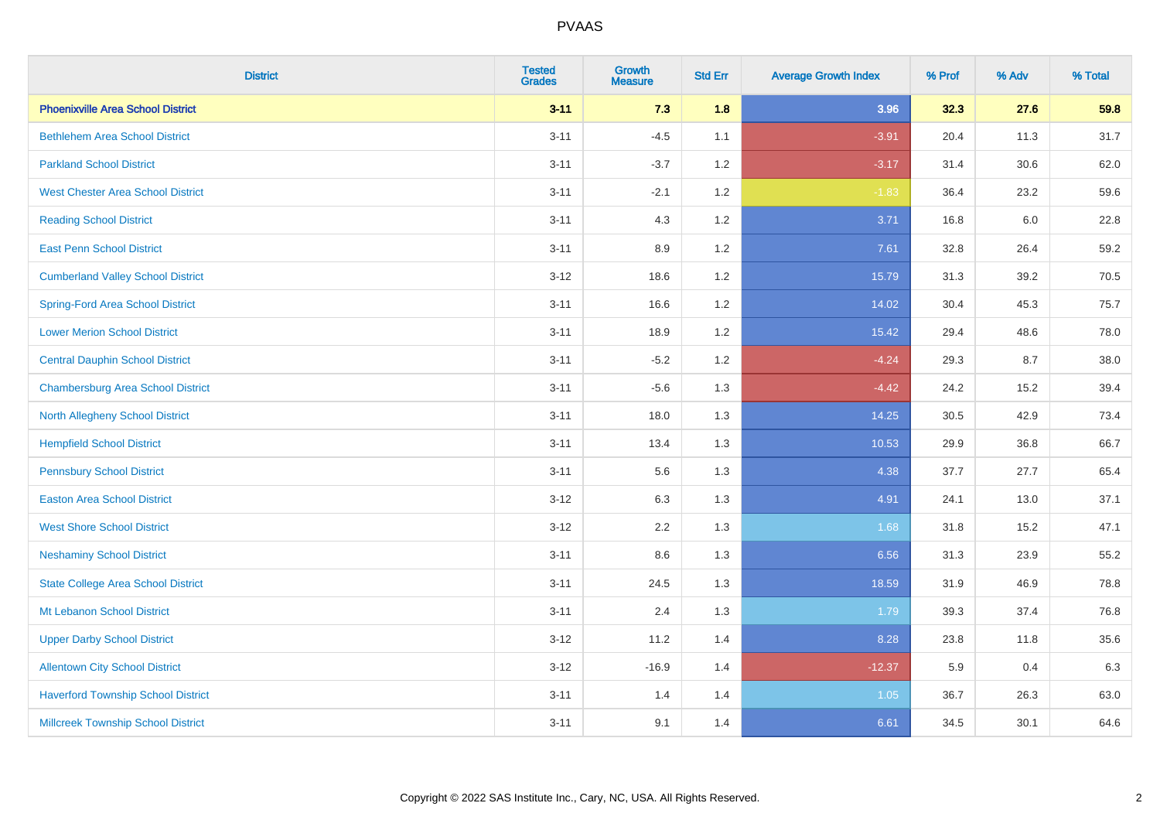| <b>District</b>                           | <b>Tested</b><br><b>Grades</b> | <b>Growth</b><br><b>Measure</b> | <b>Std Err</b> | <b>Average Growth Index</b> | % Prof | % Adv | % Total |
|-------------------------------------------|--------------------------------|---------------------------------|----------------|-----------------------------|--------|-------|---------|
| <b>Phoenixville Area School District</b>  | $3 - 11$                       | 7.3                             | 1.8            | 3.96                        | 32.3   | 27.6  | 59.8    |
| <b>Bethlehem Area School District</b>     | $3 - 11$                       | $-4.5$                          | 1.1            | $-3.91$                     | 20.4   | 11.3  | 31.7    |
| <b>Parkland School District</b>           | $3 - 11$                       | $-3.7$                          | 1.2            | $-3.17$                     | 31.4   | 30.6  | 62.0    |
| <b>West Chester Area School District</b>  | $3 - 11$                       | $-2.1$                          | 1.2            | $-1.83$                     | 36.4   | 23.2  | 59.6    |
| <b>Reading School District</b>            | $3 - 11$                       | 4.3                             | 1.2            | 3.71                        | 16.8   | 6.0   | 22.8    |
| <b>East Penn School District</b>          | $3 - 11$                       | 8.9                             | 1.2            | 7.61                        | 32.8   | 26.4  | 59.2    |
| <b>Cumberland Valley School District</b>  | $3-12$                         | 18.6                            | 1.2            | 15.79                       | 31.3   | 39.2  | 70.5    |
| <b>Spring-Ford Area School District</b>   | $3 - 11$                       | 16.6                            | 1.2            | 14.02                       | 30.4   | 45.3  | 75.7    |
| <b>Lower Merion School District</b>       | $3 - 11$                       | 18.9                            | 1.2            | 15.42                       | 29.4   | 48.6  | 78.0    |
| <b>Central Dauphin School District</b>    | $3 - 11$                       | $-5.2$                          | 1.2            | $-4.24$                     | 29.3   | 8.7   | 38.0    |
| <b>Chambersburg Area School District</b>  | $3 - 11$                       | $-5.6$                          | 1.3            | $-4.42$                     | 24.2   | 15.2  | 39.4    |
| North Allegheny School District           | $3 - 11$                       | 18.0                            | 1.3            | 14.25                       | 30.5   | 42.9  | 73.4    |
| <b>Hempfield School District</b>          | $3 - 11$                       | 13.4                            | 1.3            | 10.53                       | 29.9   | 36.8  | 66.7    |
| <b>Pennsbury School District</b>          | $3 - 11$                       | 5.6                             | 1.3            | 4.38                        | 37.7   | 27.7  | 65.4    |
| <b>Easton Area School District</b>        | $3 - 12$                       | 6.3                             | 1.3            | 4.91                        | 24.1   | 13.0  | 37.1    |
| <b>West Shore School District</b>         | $3 - 12$                       | 2.2                             | 1.3            | 1.68                        | 31.8   | 15.2  | 47.1    |
| <b>Neshaminy School District</b>          | $3 - 11$                       | 8.6                             | 1.3            | 6.56                        | 31.3   | 23.9  | 55.2    |
| <b>State College Area School District</b> | $3 - 11$                       | 24.5                            | 1.3            | 18.59                       | 31.9   | 46.9  | 78.8    |
| Mt Lebanon School District                | $3 - 11$                       | 2.4                             | 1.3            | 1.79                        | 39.3   | 37.4  | 76.8    |
| <b>Upper Darby School District</b>        | $3-12$                         | 11.2                            | 1.4            | 8.28                        | 23.8   | 11.8  | 35.6    |
| <b>Allentown City School District</b>     | $3-12$                         | $-16.9$                         | 1.4            | $-12.37$                    | 5.9    | 0.4   | 6.3     |
| <b>Haverford Township School District</b> | $3 - 11$                       | 1.4                             | 1.4            | 1.05                        | 36.7   | 26.3  | 63.0    |
| <b>Millcreek Township School District</b> | $3 - 11$                       | 9.1                             | 1.4            | 6.61                        | 34.5   | 30.1  | 64.6    |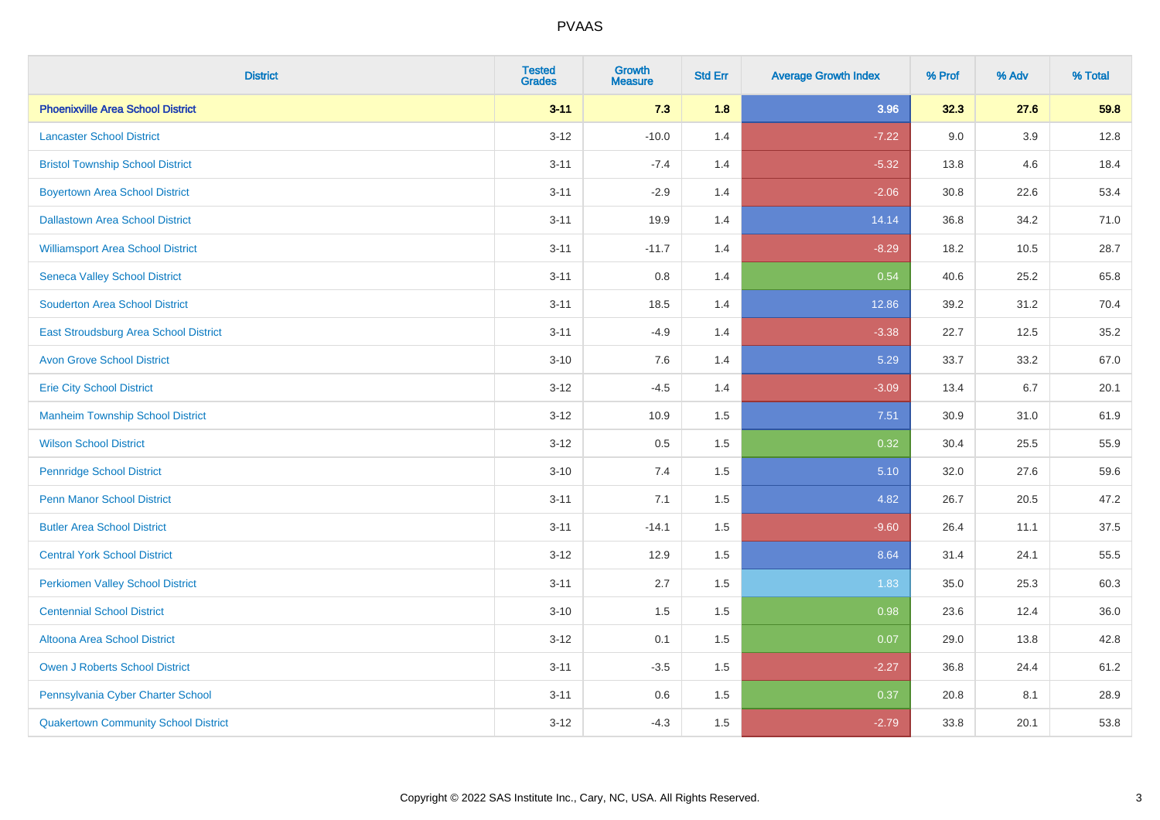| <b>District</b>                             | <b>Tested</b><br><b>Grades</b> | <b>Growth</b><br><b>Measure</b> | <b>Std Err</b> | <b>Average Growth Index</b> | % Prof | % Adv   | % Total |
|---------------------------------------------|--------------------------------|---------------------------------|----------------|-----------------------------|--------|---------|---------|
| <b>Phoenixville Area School District</b>    | $3 - 11$                       | 7.3                             | 1.8            | 3.96                        | 32.3   | 27.6    | 59.8    |
| <b>Lancaster School District</b>            | $3 - 12$                       | $-10.0$                         | 1.4            | $-7.22$                     | 9.0    | $3.9\,$ | 12.8    |
| <b>Bristol Township School District</b>     | $3 - 11$                       | $-7.4$                          | 1.4            | $-5.32$                     | 13.8   | 4.6     | 18.4    |
| <b>Boyertown Area School District</b>       | $3 - 11$                       | $-2.9$                          | 1.4            | $-2.06$                     | 30.8   | 22.6    | 53.4    |
| <b>Dallastown Area School District</b>      | $3 - 11$                       | 19.9                            | 1.4            | 14.14                       | 36.8   | 34.2    | 71.0    |
| <b>Williamsport Area School District</b>    | $3 - 11$                       | $-11.7$                         | 1.4            | $-8.29$                     | 18.2   | 10.5    | 28.7    |
| <b>Seneca Valley School District</b>        | $3 - 11$                       | 0.8                             | 1.4            | 0.54                        | 40.6   | 25.2    | 65.8    |
| <b>Souderton Area School District</b>       | $3 - 11$                       | 18.5                            | 1.4            | 12.86                       | 39.2   | 31.2    | 70.4    |
| East Stroudsburg Area School District       | $3 - 11$                       | $-4.9$                          | 1.4            | $-3.38$                     | 22.7   | 12.5    | 35.2    |
| <b>Avon Grove School District</b>           | $3 - 10$                       | 7.6                             | 1.4            | 5.29                        | 33.7   | 33.2    | 67.0    |
| <b>Erie City School District</b>            | $3 - 12$                       | $-4.5$                          | 1.4            | $-3.09$                     | 13.4   | 6.7     | 20.1    |
| <b>Manheim Township School District</b>     | $3 - 12$                       | 10.9                            | 1.5            | 7.51                        | 30.9   | 31.0    | 61.9    |
| <b>Wilson School District</b>               | $3 - 12$                       | 0.5                             | 1.5            | 0.32                        | 30.4   | 25.5    | 55.9    |
| <b>Pennridge School District</b>            | $3 - 10$                       | 7.4                             | 1.5            | 5.10                        | 32.0   | 27.6    | 59.6    |
| <b>Penn Manor School District</b>           | $3 - 11$                       | 7.1                             | 1.5            | 4.82                        | 26.7   | 20.5    | 47.2    |
| <b>Butler Area School District</b>          | $3 - 11$                       | $-14.1$                         | 1.5            | $-9.60$                     | 26.4   | 11.1    | 37.5    |
| <b>Central York School District</b>         | $3 - 12$                       | 12.9                            | 1.5            | 8.64                        | 31.4   | 24.1    | 55.5    |
| <b>Perkiomen Valley School District</b>     | $3 - 11$                       | 2.7                             | 1.5            | 1.83                        | 35.0   | 25.3    | 60.3    |
| <b>Centennial School District</b>           | $3 - 10$                       | 1.5                             | 1.5            | 0.98                        | 23.6   | 12.4    | 36.0    |
| Altoona Area School District                | $3 - 12$                       | 0.1                             | 1.5            | 0.07                        | 29.0   | 13.8    | 42.8    |
| Owen J Roberts School District              | $3 - 11$                       | $-3.5$                          | 1.5            | $-2.27$                     | 36.8   | 24.4    | 61.2    |
| Pennsylvania Cyber Charter School           | $3 - 11$                       | 0.6                             | 1.5            | 0.37                        | 20.8   | 8.1     | 28.9    |
| <b>Quakertown Community School District</b> | $3 - 12$                       | $-4.3$                          | 1.5            | $-2.79$                     | 33.8   | 20.1    | 53.8    |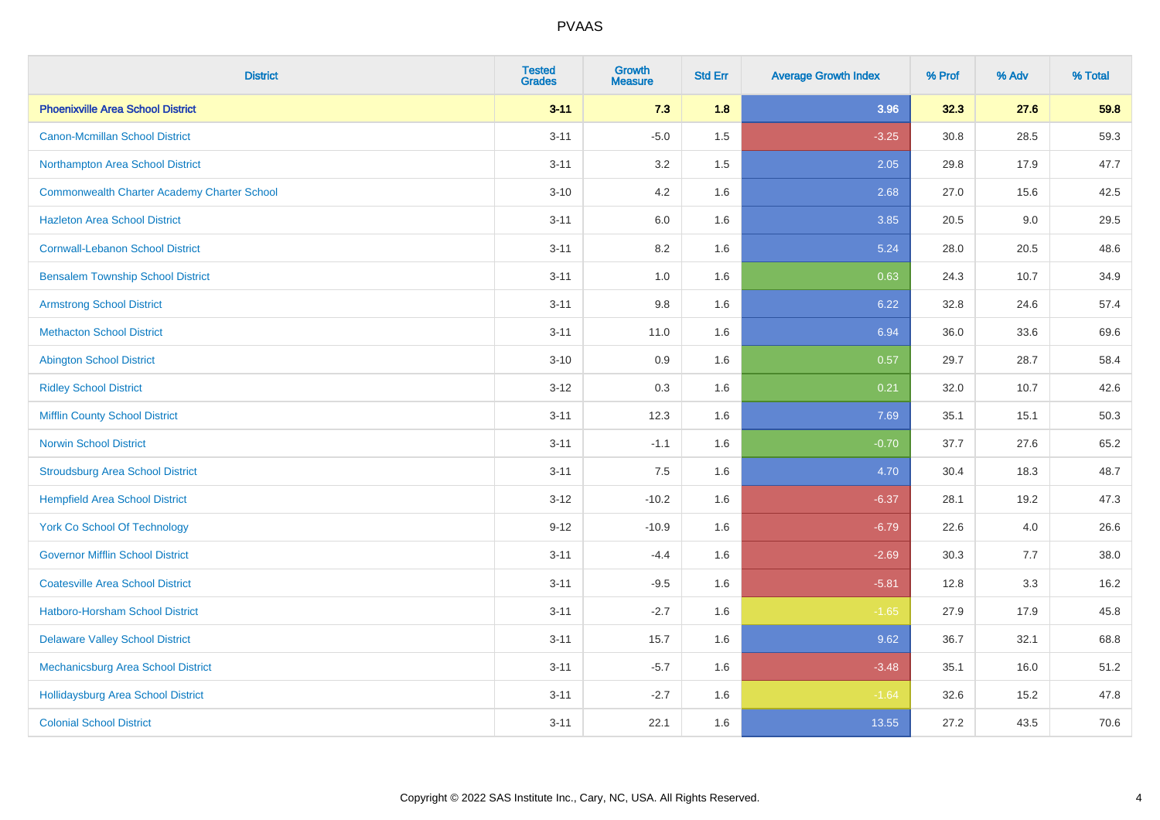| <b>District</b>                                    | <b>Tested</b><br><b>Grades</b> | Growth<br><b>Measure</b> | <b>Std Err</b> | <b>Average Growth Index</b> | % Prof | % Adv | % Total |
|----------------------------------------------------|--------------------------------|--------------------------|----------------|-----------------------------|--------|-------|---------|
| <b>Phoenixville Area School District</b>           | $3 - 11$                       | 7.3                      | 1.8            | 3.96                        | 32.3   | 27.6  | 59.8    |
| <b>Canon-Mcmillan School District</b>              | $3 - 11$                       | $-5.0$                   | 1.5            | $-3.25$                     | 30.8   | 28.5  | 59.3    |
| Northampton Area School District                   | $3 - 11$                       | 3.2                      | 1.5            | 2.05                        | 29.8   | 17.9  | 47.7    |
| <b>Commonwealth Charter Academy Charter School</b> | $3 - 10$                       | 4.2                      | 1.6            | 2.68                        | 27.0   | 15.6  | 42.5    |
| <b>Hazleton Area School District</b>               | $3 - 11$                       | 6.0                      | 1.6            | 3.85                        | 20.5   | 9.0   | 29.5    |
| <b>Cornwall-Lebanon School District</b>            | $3 - 11$                       | 8.2                      | 1.6            | 5.24                        | 28.0   | 20.5  | 48.6    |
| <b>Bensalem Township School District</b>           | $3 - 11$                       | $1.0\,$                  | 1.6            | 0.63                        | 24.3   | 10.7  | 34.9    |
| <b>Armstrong School District</b>                   | $3 - 11$                       | 9.8                      | 1.6            | 6.22                        | 32.8   | 24.6  | 57.4    |
| <b>Methacton School District</b>                   | $3 - 11$                       | 11.0                     | 1.6            | 6.94                        | 36.0   | 33.6  | 69.6    |
| <b>Abington School District</b>                    | $3 - 10$                       | 0.9                      | 1.6            | 0.57                        | 29.7   | 28.7  | 58.4    |
| <b>Ridley School District</b>                      | $3 - 12$                       | 0.3                      | 1.6            | 0.21                        | 32.0   | 10.7  | 42.6    |
| <b>Mifflin County School District</b>              | $3 - 11$                       | 12.3                     | 1.6            | 7.69                        | 35.1   | 15.1  | 50.3    |
| <b>Norwin School District</b>                      | $3 - 11$                       | $-1.1$                   | 1.6            | $-0.70$                     | 37.7   | 27.6  | 65.2    |
| <b>Stroudsburg Area School District</b>            | $3 - 11$                       | 7.5                      | 1.6            | 4.70                        | 30.4   | 18.3  | 48.7    |
| <b>Hempfield Area School District</b>              | $3 - 12$                       | $-10.2$                  | 1.6            | $-6.37$                     | 28.1   | 19.2  | 47.3    |
| <b>York Co School Of Technology</b>                | $9 - 12$                       | $-10.9$                  | 1.6            | $-6.79$                     | 22.6   | 4.0   | 26.6    |
| <b>Governor Mifflin School District</b>            | $3 - 11$                       | $-4.4$                   | 1.6            | $-2.69$                     | 30.3   | 7.7   | 38.0    |
| <b>Coatesville Area School District</b>            | $3 - 11$                       | $-9.5$                   | 1.6            | $-5.81$                     | 12.8   | 3.3   | 16.2    |
| <b>Hatboro-Horsham School District</b>             | $3 - 11$                       | $-2.7$                   | 1.6            | $-1.65$                     | 27.9   | 17.9  | 45.8    |
| <b>Delaware Valley School District</b>             | $3 - 11$                       | 15.7                     | 1.6            | 9.62                        | 36.7   | 32.1  | 68.8    |
| <b>Mechanicsburg Area School District</b>          | $3 - 11$                       | $-5.7$                   | 1.6            | $-3.48$                     | 35.1   | 16.0  | 51.2    |
| <b>Hollidaysburg Area School District</b>          | $3 - 11$                       | $-2.7$                   | 1.6            | $-1.64$                     | 32.6   | 15.2  | 47.8    |
| <b>Colonial School District</b>                    | $3 - 11$                       | 22.1                     | 1.6            | 13.55                       | 27.2   | 43.5  | 70.6    |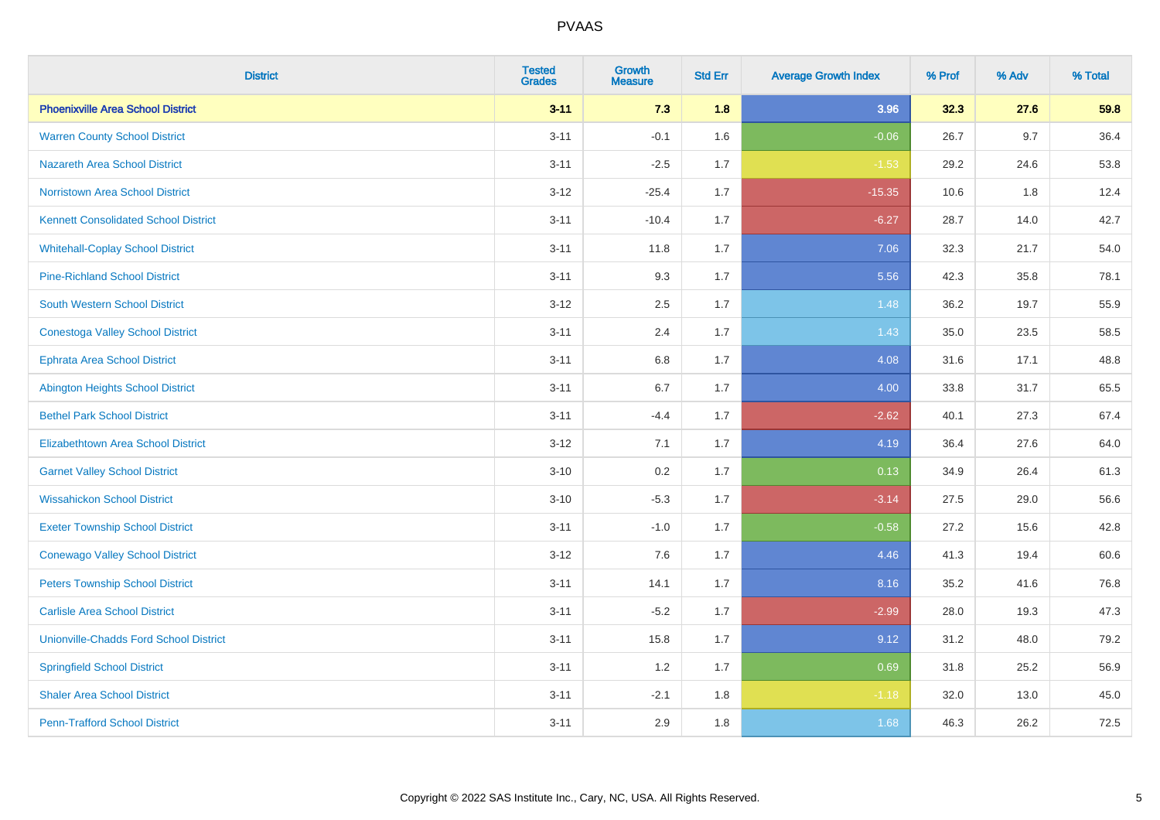| <b>District</b>                               | <b>Tested</b><br><b>Grades</b> | <b>Growth</b><br><b>Measure</b> | <b>Std Err</b> | <b>Average Growth Index</b> | % Prof | % Adv | % Total |
|-----------------------------------------------|--------------------------------|---------------------------------|----------------|-----------------------------|--------|-------|---------|
| <b>Phoenixville Area School District</b>      | $3 - 11$                       | 7.3                             | 1.8            | 3.96                        | 32.3   | 27.6  | 59.8    |
| <b>Warren County School District</b>          | $3 - 11$                       | $-0.1$                          | 1.6            | $-0.06$                     | 26.7   | 9.7   | 36.4    |
| <b>Nazareth Area School District</b>          | $3 - 11$                       | $-2.5$                          | 1.7            | $-1.53$                     | 29.2   | 24.6  | 53.8    |
| <b>Norristown Area School District</b>        | $3 - 12$                       | $-25.4$                         | 1.7            | $-15.35$                    | 10.6   | 1.8   | 12.4    |
| <b>Kennett Consolidated School District</b>   | $3 - 11$                       | $-10.4$                         | 1.7            | $-6.27$                     | 28.7   | 14.0  | 42.7    |
| <b>Whitehall-Coplay School District</b>       | $3 - 11$                       | 11.8                            | 1.7            | 7.06                        | 32.3   | 21.7  | 54.0    |
| <b>Pine-Richland School District</b>          | $3 - 11$                       | 9.3                             | 1.7            | 5.56                        | 42.3   | 35.8  | 78.1    |
| <b>South Western School District</b>          | $3 - 12$                       | 2.5                             | 1.7            | 1.48                        | 36.2   | 19.7  | 55.9    |
| <b>Conestoga Valley School District</b>       | $3 - 11$                       | 2.4                             | 1.7            | 1.43                        | 35.0   | 23.5  | 58.5    |
| <b>Ephrata Area School District</b>           | $3 - 11$                       | 6.8                             | 1.7            | 4.08                        | 31.6   | 17.1  | 48.8    |
| <b>Abington Heights School District</b>       | $3 - 11$                       | 6.7                             | 1.7            | 4.00                        | 33.8   | 31.7  | 65.5    |
| <b>Bethel Park School District</b>            | $3 - 11$                       | $-4.4$                          | 1.7            | $-2.62$                     | 40.1   | 27.3  | 67.4    |
| <b>Elizabethtown Area School District</b>     | $3 - 12$                       | 7.1                             | 1.7            | 4.19                        | 36.4   | 27.6  | 64.0    |
| <b>Garnet Valley School District</b>          | $3 - 10$                       | 0.2                             | 1.7            | 0.13                        | 34.9   | 26.4  | 61.3    |
| <b>Wissahickon School District</b>            | $3 - 10$                       | $-5.3$                          | 1.7            | $-3.14$                     | 27.5   | 29.0  | 56.6    |
| <b>Exeter Township School District</b>        | $3 - 11$                       | $-1.0$                          | 1.7            | $-0.58$                     | 27.2   | 15.6  | 42.8    |
| <b>Conewago Valley School District</b>        | $3 - 12$                       | 7.6                             | 1.7            | 4.46                        | 41.3   | 19.4  | 60.6    |
| <b>Peters Township School District</b>        | $3 - 11$                       | 14.1                            | 1.7            | 8.16                        | 35.2   | 41.6  | 76.8    |
| <b>Carlisle Area School District</b>          | $3 - 11$                       | $-5.2$                          | 1.7            | $-2.99$                     | 28.0   | 19.3  | 47.3    |
| <b>Unionville-Chadds Ford School District</b> | $3 - 11$                       | 15.8                            | 1.7            | 9.12                        | 31.2   | 48.0  | 79.2    |
| <b>Springfield School District</b>            | $3 - 11$                       | 1.2                             | 1.7            | 0.69                        | 31.8   | 25.2  | 56.9    |
| <b>Shaler Area School District</b>            | $3 - 11$                       | $-2.1$                          | 1.8            | $-1.18$                     | 32.0   | 13.0  | 45.0    |
| <b>Penn-Trafford School District</b>          | $3 - 11$                       | 2.9                             | 1.8            | 1.68                        | 46.3   | 26.2  | 72.5    |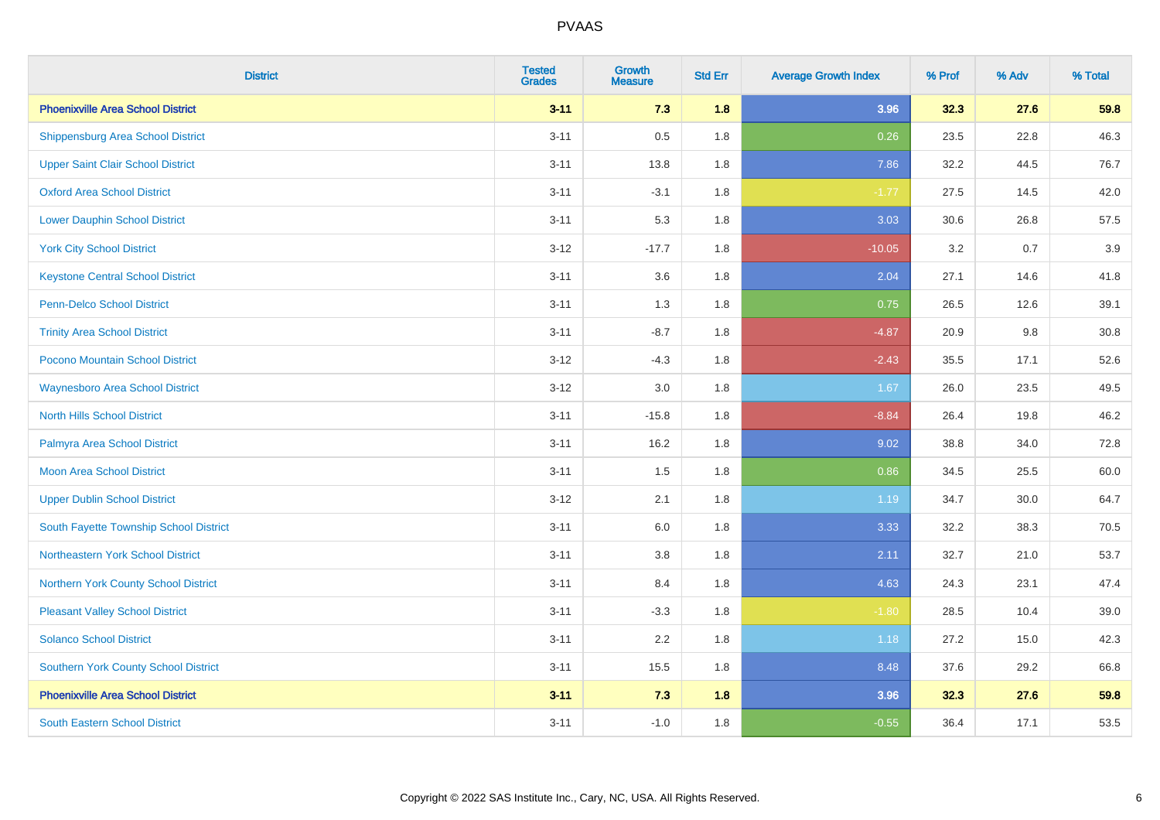| <b>District</b>                             | <b>Tested</b><br><b>Grades</b> | <b>Growth</b><br><b>Measure</b> | <b>Std Err</b> | <b>Average Growth Index</b> | % Prof | % Adv | % Total |
|---------------------------------------------|--------------------------------|---------------------------------|----------------|-----------------------------|--------|-------|---------|
| <b>Phoenixville Area School District</b>    | $3 - 11$                       | 7.3                             | 1.8            | 3.96                        | 32.3   | 27.6  | 59.8    |
| <b>Shippensburg Area School District</b>    | $3 - 11$                       | 0.5                             | 1.8            | 0.26                        | 23.5   | 22.8  | 46.3    |
| <b>Upper Saint Clair School District</b>    | $3 - 11$                       | 13.8                            | 1.8            | 7.86                        | 32.2   | 44.5  | 76.7    |
| <b>Oxford Area School District</b>          | $3 - 11$                       | $-3.1$                          | 1.8            | $-1.77$                     | 27.5   | 14.5  | 42.0    |
| <b>Lower Dauphin School District</b>        | $3 - 11$                       | 5.3                             | 1.8            | 3.03                        | 30.6   | 26.8  | 57.5    |
| <b>York City School District</b>            | $3 - 12$                       | $-17.7$                         | 1.8            | $-10.05$                    | 3.2    | 0.7   | 3.9     |
| <b>Keystone Central School District</b>     | $3 - 11$                       | 3.6                             | 1.8            | 2.04                        | 27.1   | 14.6  | 41.8    |
| <b>Penn-Delco School District</b>           | $3 - 11$                       | 1.3                             | 1.8            | 0.75                        | 26.5   | 12.6  | 39.1    |
| <b>Trinity Area School District</b>         | $3 - 11$                       | $-8.7$                          | 1.8            | $-4.87$                     | 20.9   | 9.8   | 30.8    |
| Pocono Mountain School District             | $3 - 12$                       | $-4.3$                          | 1.8            | $-2.43$                     | 35.5   | 17.1  | 52.6    |
| <b>Waynesboro Area School District</b>      | $3 - 12$                       | 3.0                             | 1.8            | 1.67                        | 26.0   | 23.5  | 49.5    |
| <b>North Hills School District</b>          | $3 - 11$                       | $-15.8$                         | 1.8            | $-8.84$                     | 26.4   | 19.8  | 46.2    |
| Palmyra Area School District                | $3 - 11$                       | 16.2                            | 1.8            | 9.02                        | 38.8   | 34.0  | 72.8    |
| <b>Moon Area School District</b>            | $3 - 11$                       | 1.5                             | 1.8            | 0.86                        | 34.5   | 25.5  | 60.0    |
| <b>Upper Dublin School District</b>         | $3 - 12$                       | 2.1                             | 1.8            | 1.19                        | 34.7   | 30.0  | 64.7    |
| South Fayette Township School District      | $3 - 11$                       | 6.0                             | 1.8            | 3.33                        | 32.2   | 38.3  | 70.5    |
| Northeastern York School District           | $3 - 11$                       | 3.8                             | 1.8            | 2.11                        | 32.7   | 21.0  | 53.7    |
| Northern York County School District        | $3 - 11$                       | 8.4                             | 1.8            | 4.63                        | 24.3   | 23.1  | 47.4    |
| <b>Pleasant Valley School District</b>      | $3 - 11$                       | $-3.3$                          | 1.8            | $-1.80$                     | 28.5   | 10.4  | 39.0    |
| <b>Solanco School District</b>              | $3 - 11$                       | 2.2                             | 1.8            | 1.18                        | 27.2   | 15.0  | 42.3    |
| <b>Southern York County School District</b> | $3 - 11$                       | 15.5                            | 1.8            | 8.48                        | 37.6   | 29.2  | 66.8    |
| <b>Phoenixville Area School District</b>    | $3 - 11$                       | 7.3                             | 1.8            | 3.96                        | 32.3   | 27.6  | 59.8    |
| <b>South Eastern School District</b>        | $3 - 11$                       | $-1.0$                          | 1.8            | $-0.55$                     | 36.4   | 17.1  | 53.5    |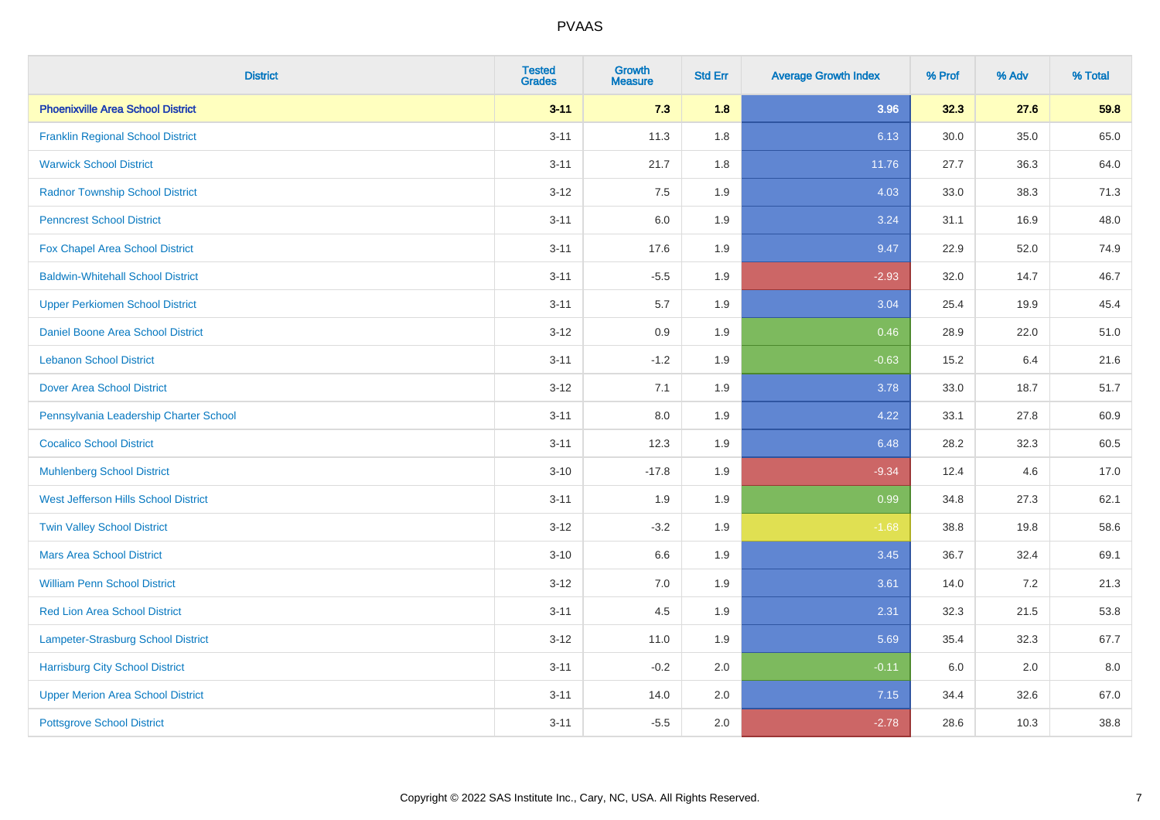| <b>District</b>                           | <b>Tested</b><br><b>Grades</b> | <b>Growth</b><br><b>Measure</b> | <b>Std Err</b> | <b>Average Growth Index</b> | % Prof | % Adv | % Total |
|-------------------------------------------|--------------------------------|---------------------------------|----------------|-----------------------------|--------|-------|---------|
| <b>Phoenixville Area School District</b>  | $3 - 11$                       | 7.3                             | 1.8            | 3.96                        | 32.3   | 27.6  | 59.8    |
| <b>Franklin Regional School District</b>  | $3 - 11$                       | 11.3                            | 1.8            | 6.13                        | 30.0   | 35.0  | 65.0    |
| <b>Warwick School District</b>            | $3 - 11$                       | 21.7                            | 1.8            | 11.76                       | 27.7   | 36.3  | 64.0    |
| <b>Radnor Township School District</b>    | $3 - 12$                       | 7.5                             | 1.9            | 4.03                        | 33.0   | 38.3  | 71.3    |
| <b>Penncrest School District</b>          | $3 - 11$                       | 6.0                             | 1.9            | 3.24                        | 31.1   | 16.9  | 48.0    |
| Fox Chapel Area School District           | $3 - 11$                       | 17.6                            | 1.9            | 9.47                        | 22.9   | 52.0  | 74.9    |
| <b>Baldwin-Whitehall School District</b>  | $3 - 11$                       | $-5.5$                          | 1.9            | $-2.93$                     | 32.0   | 14.7  | 46.7    |
| <b>Upper Perkiomen School District</b>    | $3 - 11$                       | 5.7                             | 1.9            | 3.04                        | 25.4   | 19.9  | 45.4    |
| <b>Daniel Boone Area School District</b>  | $3 - 12$                       | 0.9                             | 1.9            | 0.46                        | 28.9   | 22.0  | 51.0    |
| <b>Lebanon School District</b>            | $3 - 11$                       | $-1.2$                          | 1.9            | $-0.63$                     | 15.2   | 6.4   | 21.6    |
| <b>Dover Area School District</b>         | $3-12$                         | 7.1                             | 1.9            | 3.78                        | 33.0   | 18.7  | 51.7    |
| Pennsylvania Leadership Charter School    | $3 - 11$                       | 8.0                             | 1.9            | 4.22                        | 33.1   | 27.8  | 60.9    |
| <b>Cocalico School District</b>           | $3 - 11$                       | 12.3                            | 1.9            | 6.48                        | 28.2   | 32.3  | 60.5    |
| <b>Muhlenberg School District</b>         | $3 - 10$                       | $-17.8$                         | 1.9            | $-9.34$                     | 12.4   | 4.6   | 17.0    |
| West Jefferson Hills School District      | $3 - 11$                       | 1.9                             | 1.9            | 0.99                        | 34.8   | 27.3  | 62.1    |
| <b>Twin Valley School District</b>        | $3 - 12$                       | $-3.2$                          | 1.9            | $-1.68$                     | 38.8   | 19.8  | 58.6    |
| <b>Mars Area School District</b>          | $3 - 10$                       | 6.6                             | 1.9            | 3.45                        | 36.7   | 32.4  | 69.1    |
| <b>William Penn School District</b>       | $3 - 12$                       | 7.0                             | 1.9            | 3.61                        | 14.0   | 7.2   | 21.3    |
| Red Lion Area School District             | $3 - 11$                       | 4.5                             | 1.9            | 2.31                        | 32.3   | 21.5  | 53.8    |
| <b>Lampeter-Strasburg School District</b> | $3 - 12$                       | 11.0                            | 1.9            | 5.69                        | 35.4   | 32.3  | 67.7    |
| <b>Harrisburg City School District</b>    | $3 - 11$                       | $-0.2$                          | 2.0            | $-0.11$                     | 6.0    | 2.0   | 8.0     |
| <b>Upper Merion Area School District</b>  | $3 - 11$                       | 14.0                            | 2.0            | 7.15                        | 34.4   | 32.6  | 67.0    |
| <b>Pottsgrove School District</b>         | $3 - 11$                       | $-5.5$                          | 2.0            | $-2.78$                     | 28.6   | 10.3  | 38.8    |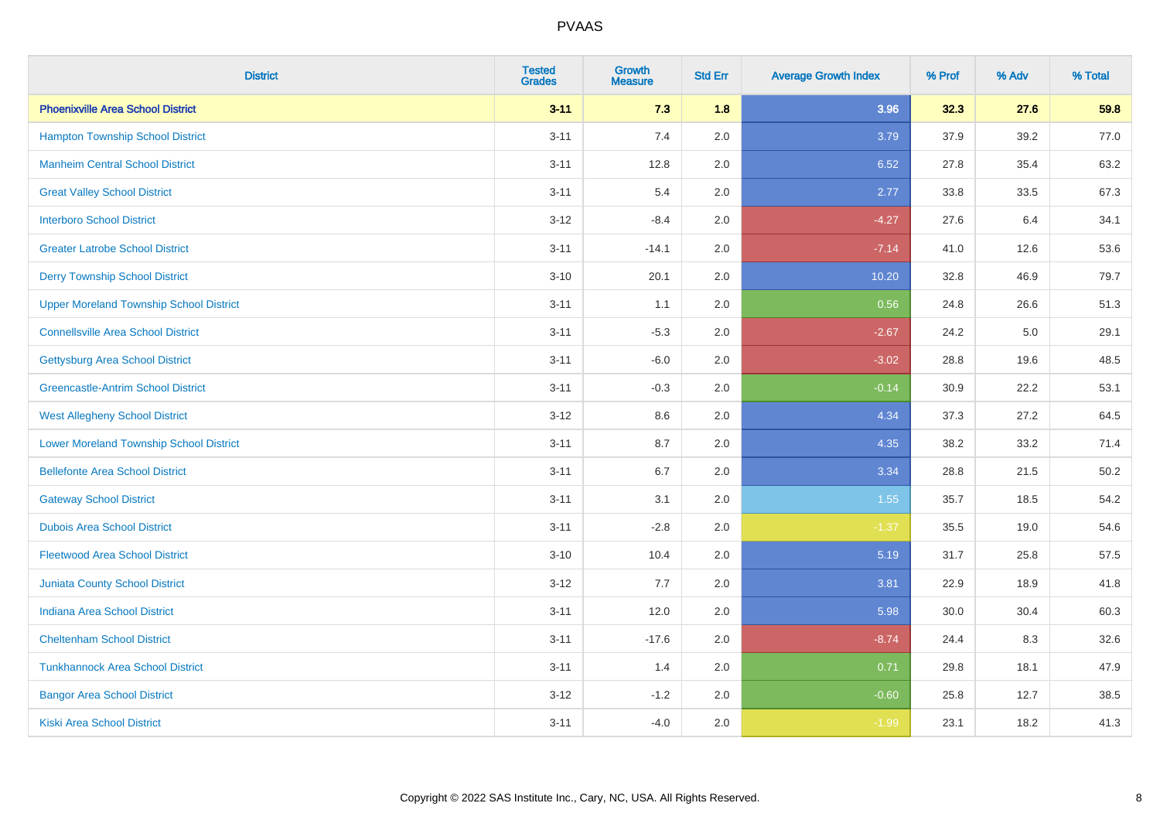| <b>District</b>                                | <b>Tested</b><br><b>Grades</b> | Growth<br><b>Measure</b> | <b>Std Err</b> | <b>Average Growth Index</b> | % Prof | % Adv | % Total |
|------------------------------------------------|--------------------------------|--------------------------|----------------|-----------------------------|--------|-------|---------|
| <b>Phoenixville Area School District</b>       | $3 - 11$                       | 7.3                      | 1.8            | 3.96                        | 32.3   | 27.6  | 59.8    |
| <b>Hampton Township School District</b>        | $3 - 11$                       | 7.4                      | 2.0            | 3.79                        | 37.9   | 39.2  | 77.0    |
| <b>Manheim Central School District</b>         | $3 - 11$                       | 12.8                     | 2.0            | 6.52                        | 27.8   | 35.4  | 63.2    |
| <b>Great Valley School District</b>            | $3 - 11$                       | 5.4                      | 2.0            | 2.77                        | 33.8   | 33.5  | 67.3    |
| <b>Interboro School District</b>               | $3 - 12$                       | $-8.4$                   | 2.0            | $-4.27$                     | 27.6   | 6.4   | 34.1    |
| <b>Greater Latrobe School District</b>         | $3 - 11$                       | $-14.1$                  | 2.0            | $-7.14$                     | 41.0   | 12.6  | 53.6    |
| <b>Derry Township School District</b>          | $3 - 10$                       | 20.1                     | 2.0            | 10.20                       | 32.8   | 46.9  | 79.7    |
| <b>Upper Moreland Township School District</b> | $3 - 11$                       | 1.1                      | 2.0            | 0.56                        | 24.8   | 26.6  | 51.3    |
| <b>Connellsville Area School District</b>      | $3 - 11$                       | $-5.3$                   | 2.0            | $-2.67$                     | 24.2   | 5.0   | 29.1    |
| <b>Gettysburg Area School District</b>         | $3 - 11$                       | $-6.0$                   | 2.0            | $-3.02$                     | 28.8   | 19.6  | 48.5    |
| <b>Greencastle-Antrim School District</b>      | $3 - 11$                       | $-0.3$                   | 2.0            | $-0.14$                     | 30.9   | 22.2  | 53.1    |
| <b>West Allegheny School District</b>          | $3 - 12$                       | 8.6                      | 2.0            | 4.34                        | 37.3   | 27.2  | 64.5    |
| <b>Lower Moreland Township School District</b> | $3 - 11$                       | 8.7                      | 2.0            | 4.35                        | 38.2   | 33.2  | 71.4    |
| <b>Bellefonte Area School District</b>         | $3 - 11$                       | 6.7                      | 2.0            | 3.34                        | 28.8   | 21.5  | 50.2    |
| <b>Gateway School District</b>                 | $3 - 11$                       | 3.1                      | 2.0            | 1.55                        | 35.7   | 18.5  | 54.2    |
| <b>Dubois Area School District</b>             | $3 - 11$                       | $-2.8$                   | 2.0            | $-1.37$                     | 35.5   | 19.0  | 54.6    |
| <b>Fleetwood Area School District</b>          | $3 - 10$                       | 10.4                     | 2.0            | 5.19                        | 31.7   | 25.8  | 57.5    |
| <b>Juniata County School District</b>          | $3-12$                         | 7.7                      | 2.0            | 3.81                        | 22.9   | 18.9  | 41.8    |
| <b>Indiana Area School District</b>            | $3 - 11$                       | 12.0                     | 2.0            | 5.98                        | 30.0   | 30.4  | 60.3    |
| <b>Cheltenham School District</b>              | $3 - 11$                       | $-17.6$                  | 2.0            | $-8.74$                     | 24.4   | 8.3   | 32.6    |
| <b>Tunkhannock Area School District</b>        | $3 - 11$                       | 1.4                      | 2.0            | 0.71                        | 29.8   | 18.1  | 47.9    |
| <b>Bangor Area School District</b>             | $3 - 12$                       | $-1.2$                   | 2.0            | $-0.60$                     | 25.8   | 12.7  | 38.5    |
| Kiski Area School District                     | $3 - 11$                       | $-4.0$                   | 2.0            | $-1.99$                     | 23.1   | 18.2  | 41.3    |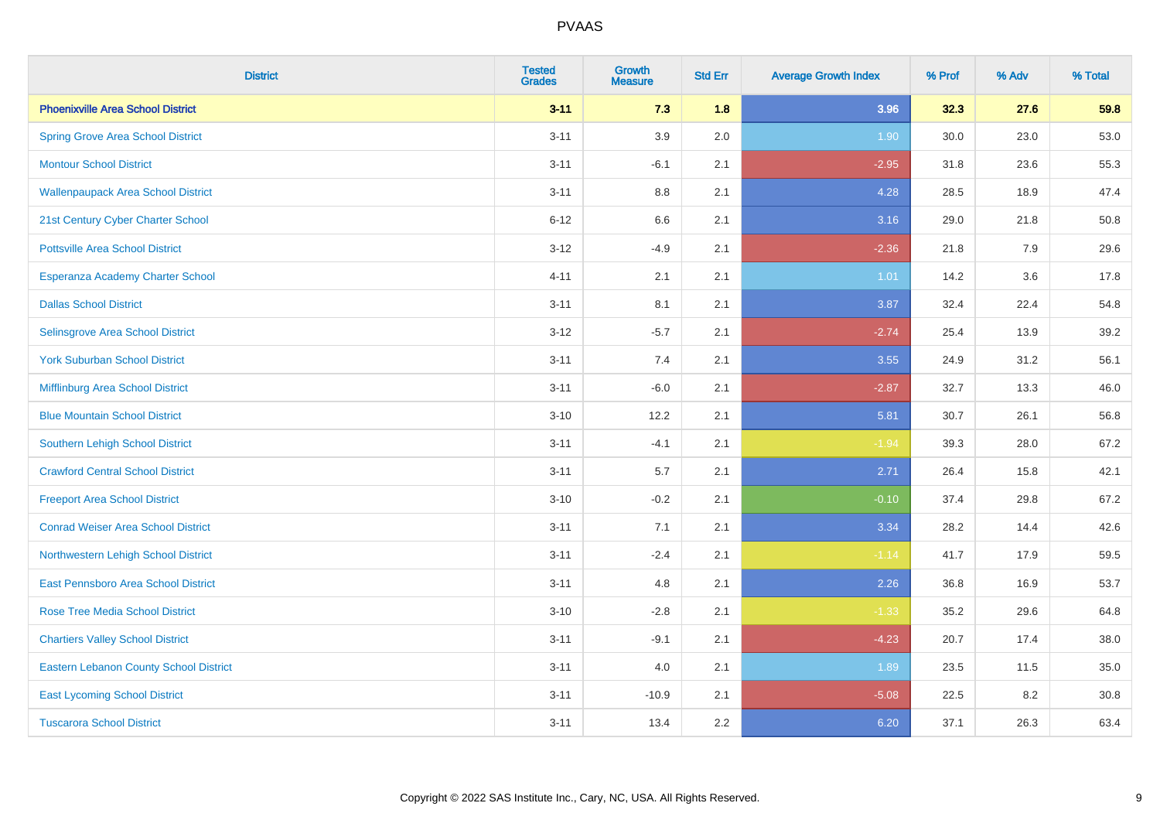| <b>District</b>                               | <b>Tested</b><br><b>Grades</b> | Growth<br><b>Measure</b> | <b>Std Err</b> | <b>Average Growth Index</b> | % Prof | % Adv | % Total |
|-----------------------------------------------|--------------------------------|--------------------------|----------------|-----------------------------|--------|-------|---------|
| <b>Phoenixville Area School District</b>      | $3 - 11$                       | 7.3                      | 1.8            | 3.96                        | 32.3   | 27.6  | 59.8    |
| <b>Spring Grove Area School District</b>      | $3 - 11$                       | 3.9                      | 2.0            | 1.90                        | 30.0   | 23.0  | 53.0    |
| <b>Montour School District</b>                | $3 - 11$                       | $-6.1$                   | 2.1            | $-2.95$                     | 31.8   | 23.6  | 55.3    |
| <b>Wallenpaupack Area School District</b>     | $3 - 11$                       | $8.8\,$                  | 2.1            | 4.28                        | 28.5   | 18.9  | 47.4    |
| 21st Century Cyber Charter School             | $6 - 12$                       | 6.6                      | 2.1            | 3.16                        | 29.0   | 21.8  | 50.8    |
| <b>Pottsville Area School District</b>        | $3 - 12$                       | $-4.9$                   | 2.1            | $-2.36$                     | 21.8   | 7.9   | 29.6    |
| Esperanza Academy Charter School              | $4 - 11$                       | 2.1                      | 2.1            | 1.01                        | 14.2   | 3.6   | 17.8    |
| <b>Dallas School District</b>                 | $3 - 11$                       | 8.1                      | 2.1            | 3.87                        | 32.4   | 22.4  | 54.8    |
| Selinsgrove Area School District              | $3 - 12$                       | $-5.7$                   | 2.1            | $-2.74$                     | 25.4   | 13.9  | 39.2    |
| <b>York Suburban School District</b>          | $3 - 11$                       | 7.4                      | 2.1            | 3.55                        | 24.9   | 31.2  | 56.1    |
| Mifflinburg Area School District              | $3 - 11$                       | $-6.0$                   | 2.1            | $-2.87$                     | 32.7   | 13.3  | 46.0    |
| <b>Blue Mountain School District</b>          | $3 - 10$                       | 12.2                     | 2.1            | 5.81                        | 30.7   | 26.1  | 56.8    |
| Southern Lehigh School District               | $3 - 11$                       | $-4.1$                   | 2.1            | $-1.94$                     | 39.3   | 28.0  | 67.2    |
| <b>Crawford Central School District</b>       | $3 - 11$                       | 5.7                      | 2.1            | 2.71                        | 26.4   | 15.8  | 42.1    |
| <b>Freeport Area School District</b>          | $3 - 10$                       | $-0.2$                   | 2.1            | $-0.10$                     | 37.4   | 29.8  | 67.2    |
| <b>Conrad Weiser Area School District</b>     | $3 - 11$                       | 7.1                      | 2.1            | 3.34                        | 28.2   | 14.4  | 42.6    |
| Northwestern Lehigh School District           | $3 - 11$                       | $-2.4$                   | 2.1            | $-1.14$                     | 41.7   | 17.9  | 59.5    |
| East Pennsboro Area School District           | $3 - 11$                       | 4.8                      | 2.1            | 2.26                        | 36.8   | 16.9  | 53.7    |
| <b>Rose Tree Media School District</b>        | $3 - 10$                       | $-2.8$                   | 2.1            | $-1.33$                     | 35.2   | 29.6  | 64.8    |
| <b>Chartiers Valley School District</b>       | $3 - 11$                       | $-9.1$                   | 2.1            | $-4.23$                     | 20.7   | 17.4  | 38.0    |
| <b>Eastern Lebanon County School District</b> | $3 - 11$                       | 4.0                      | 2.1            | 1.89                        | 23.5   | 11.5  | 35.0    |
| <b>East Lycoming School District</b>          | $3 - 11$                       | $-10.9$                  | 2.1            | $-5.08$                     | 22.5   | 8.2   | 30.8    |
| <b>Tuscarora School District</b>              | $3 - 11$                       | 13.4                     | 2.2            | 6.20                        | 37.1   | 26.3  | 63.4    |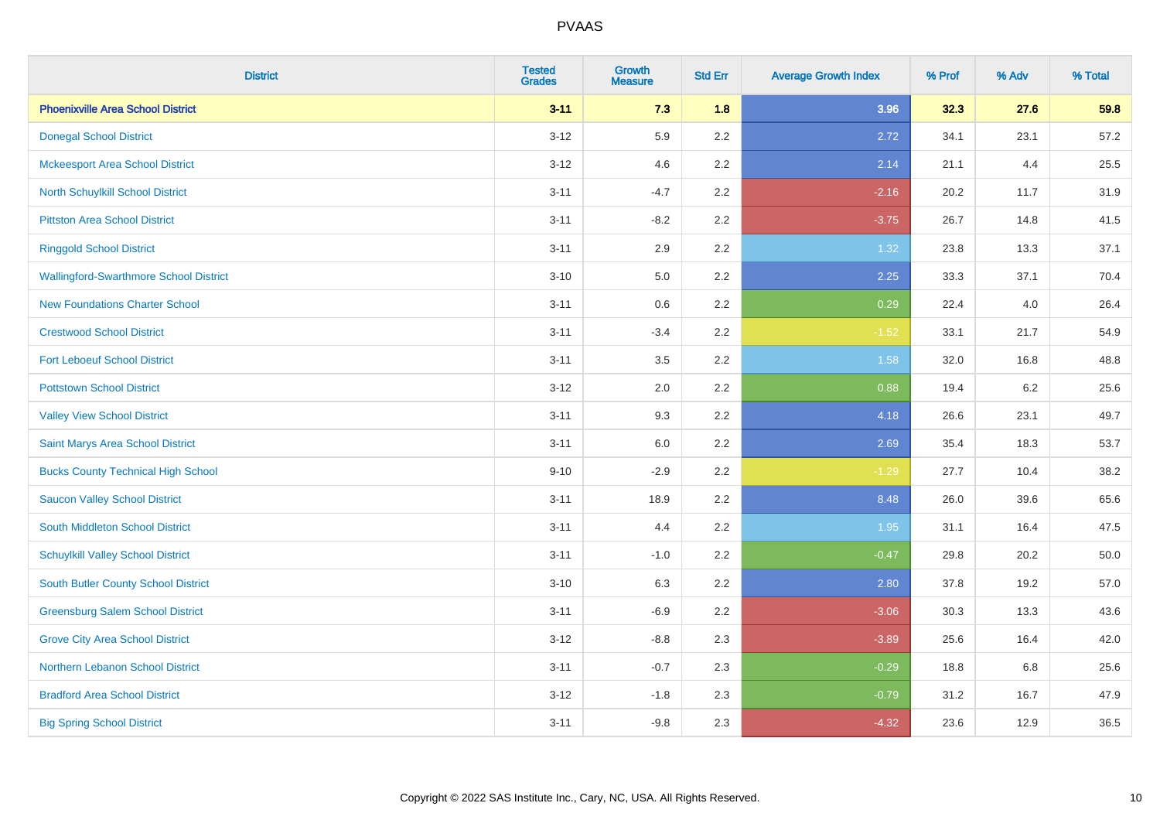| <b>District</b>                               | <b>Tested</b><br><b>Grades</b> | <b>Growth</b><br><b>Measure</b> | <b>Std Err</b> | <b>Average Growth Index</b> | % Prof | % Adv | % Total |
|-----------------------------------------------|--------------------------------|---------------------------------|----------------|-----------------------------|--------|-------|---------|
| <b>Phoenixville Area School District</b>      | $3 - 11$                       | 7.3                             | 1.8            | 3.96                        | 32.3   | 27.6  | 59.8    |
| <b>Donegal School District</b>                | $3 - 12$                       | 5.9                             | 2.2            | 2.72                        | 34.1   | 23.1  | 57.2    |
| <b>Mckeesport Area School District</b>        | $3 - 12$                       | 4.6                             | 2.2            | 2.14                        | 21.1   | 4.4   | 25.5    |
| North Schuylkill School District              | $3 - 11$                       | $-4.7$                          | 2.2            | $-2.16$                     | 20.2   | 11.7  | 31.9    |
| <b>Pittston Area School District</b>          | $3 - 11$                       | $-8.2$                          | 2.2            | $-3.75$                     | 26.7   | 14.8  | 41.5    |
| <b>Ringgold School District</b>               | $3 - 11$                       | 2.9                             | 2.2            | 1.32                        | 23.8   | 13.3  | 37.1    |
| <b>Wallingford-Swarthmore School District</b> | $3 - 10$                       | 5.0                             | 2.2            | 2.25                        | 33.3   | 37.1  | 70.4    |
| <b>New Foundations Charter School</b>         | $3 - 11$                       | 0.6                             | 2.2            | 0.29                        | 22.4   | 4.0   | 26.4    |
| <b>Crestwood School District</b>              | $3 - 11$                       | $-3.4$                          | 2.2            | $-1.52$                     | 33.1   | 21.7  | 54.9    |
| <b>Fort Leboeuf School District</b>           | $3 - 11$                       | 3.5                             | 2.2            | 1.58                        | 32.0   | 16.8  | 48.8    |
| <b>Pottstown School District</b>              | $3 - 12$                       | 2.0                             | 2.2            | 0.88                        | 19.4   | 6.2   | 25.6    |
| <b>Valley View School District</b>            | $3 - 11$                       | 9.3                             | 2.2            | 4.18                        | 26.6   | 23.1  | 49.7    |
| Saint Marys Area School District              | $3 - 11$                       | $6.0\,$                         | 2.2            | 2.69                        | 35.4   | 18.3  | 53.7    |
| <b>Bucks County Technical High School</b>     | $9 - 10$                       | $-2.9$                          | 2.2            | $-1.29$                     | 27.7   | 10.4  | 38.2    |
| <b>Saucon Valley School District</b>          | $3 - 11$                       | 18.9                            | 2.2            | 8.48                        | 26.0   | 39.6  | 65.6    |
| South Middleton School District               | $3 - 11$                       | 4.4                             | 2.2            | 1.95                        | 31.1   | 16.4  | 47.5    |
| <b>Schuylkill Valley School District</b>      | $3 - 11$                       | $-1.0$                          | 2.2            | $-0.47$                     | 29.8   | 20.2  | 50.0    |
| South Butler County School District           | $3 - 10$                       | 6.3                             | 2.2            | 2.80                        | 37.8   | 19.2  | 57.0    |
| <b>Greensburg Salem School District</b>       | $3 - 11$                       | $-6.9$                          | 2.2            | $-3.06$                     | 30.3   | 13.3  | 43.6    |
| <b>Grove City Area School District</b>        | $3 - 12$                       | $-8.8$                          | 2.3            | $-3.89$                     | 25.6   | 16.4  | 42.0    |
| Northern Lebanon School District              | $3 - 11$                       | $-0.7$                          | 2.3            | $-0.29$                     | 18.8   | 6.8   | 25.6    |
| <b>Bradford Area School District</b>          | $3 - 12$                       | $-1.8$                          | 2.3            | $-0.79$                     | 31.2   | 16.7  | 47.9    |
| <b>Big Spring School District</b>             | $3 - 11$                       | $-9.8$                          | 2.3            | $-4.32$                     | 23.6   | 12.9  | 36.5    |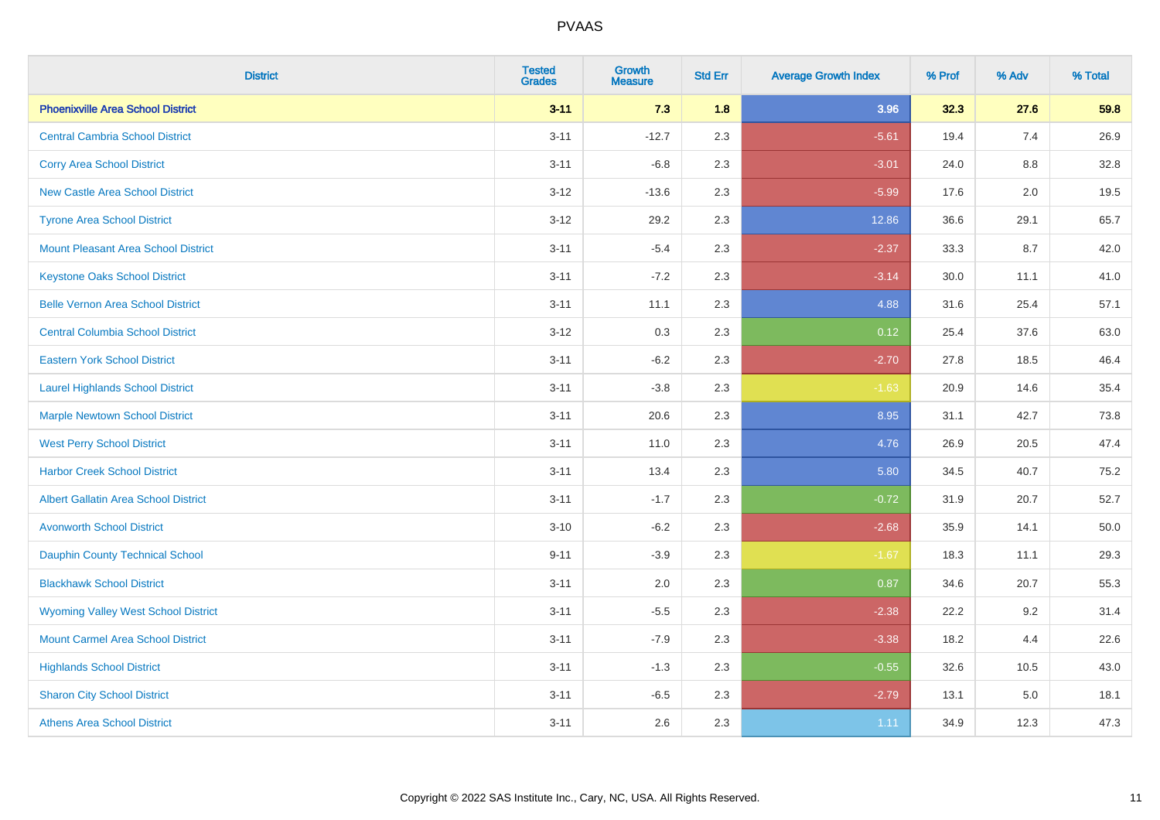| <b>District</b>                             | <b>Tested</b><br><b>Grades</b> | <b>Growth</b><br><b>Measure</b> | <b>Std Err</b> | <b>Average Growth Index</b> | % Prof | % Adv | % Total |
|---------------------------------------------|--------------------------------|---------------------------------|----------------|-----------------------------|--------|-------|---------|
| <b>Phoenixville Area School District</b>    | $3 - 11$                       | 7.3                             | 1.8            | 3.96                        | 32.3   | 27.6  | 59.8    |
| <b>Central Cambria School District</b>      | $3 - 11$                       | $-12.7$                         | 2.3            | $-5.61$                     | 19.4   | 7.4   | 26.9    |
| <b>Corry Area School District</b>           | $3 - 11$                       | $-6.8$                          | 2.3            | $-3.01$                     | 24.0   | 8.8   | 32.8    |
| <b>New Castle Area School District</b>      | $3 - 12$                       | $-13.6$                         | 2.3            | $-5.99$                     | 17.6   | 2.0   | 19.5    |
| <b>Tyrone Area School District</b>          | $3 - 12$                       | 29.2                            | 2.3            | 12.86                       | 36.6   | 29.1  | 65.7    |
| <b>Mount Pleasant Area School District</b>  | $3 - 11$                       | $-5.4$                          | 2.3            | $-2.37$                     | 33.3   | 8.7   | 42.0    |
| <b>Keystone Oaks School District</b>        | $3 - 11$                       | $-7.2$                          | 2.3            | $-3.14$                     | 30.0   | 11.1  | 41.0    |
| <b>Belle Vernon Area School District</b>    | $3 - 11$                       | 11.1                            | 2.3            | 4.88                        | 31.6   | 25.4  | 57.1    |
| <b>Central Columbia School District</b>     | $3 - 12$                       | 0.3                             | 2.3            | 0.12                        | 25.4   | 37.6  | 63.0    |
| <b>Eastern York School District</b>         | $3 - 11$                       | $-6.2$                          | 2.3            | $-2.70$                     | 27.8   | 18.5  | 46.4    |
| <b>Laurel Highlands School District</b>     | $3 - 11$                       | $-3.8$                          | 2.3            | $-1.63$                     | 20.9   | 14.6  | 35.4    |
| <b>Marple Newtown School District</b>       | $3 - 11$                       | 20.6                            | 2.3            | 8.95                        | 31.1   | 42.7  | 73.8    |
| <b>West Perry School District</b>           | $3 - 11$                       | 11.0                            | 2.3            | 4.76                        | 26.9   | 20.5  | 47.4    |
| <b>Harbor Creek School District</b>         | $3 - 11$                       | 13.4                            | 2.3            | 5.80                        | 34.5   | 40.7  | 75.2    |
| <b>Albert Gallatin Area School District</b> | $3 - 11$                       | $-1.7$                          | 2.3            | $-0.72$                     | 31.9   | 20.7  | 52.7    |
| <b>Avonworth School District</b>            | $3 - 10$                       | $-6.2$                          | 2.3            | $-2.68$                     | 35.9   | 14.1  | 50.0    |
| Dauphin County Technical School             | $9 - 11$                       | $-3.9$                          | 2.3            | $-1.67$                     | 18.3   | 11.1  | 29.3    |
| <b>Blackhawk School District</b>            | $3 - 11$                       | 2.0                             | 2.3            | 0.87                        | 34.6   | 20.7  | 55.3    |
| <b>Wyoming Valley West School District</b>  | $3 - 11$                       | $-5.5$                          | 2.3            | $-2.38$                     | 22.2   | 9.2   | 31.4    |
| <b>Mount Carmel Area School District</b>    | $3 - 11$                       | $-7.9$                          | 2.3            | $-3.38$                     | 18.2   | 4.4   | 22.6    |
| <b>Highlands School District</b>            | $3 - 11$                       | $-1.3$                          | 2.3            | $-0.55$                     | 32.6   | 10.5  | 43.0    |
| <b>Sharon City School District</b>          | $3 - 11$                       | $-6.5$                          | 2.3            | $-2.79$                     | 13.1   | 5.0   | 18.1    |
| <b>Athens Area School District</b>          | $3 - 11$                       | 2.6                             | 2.3            | 1.11                        | 34.9   | 12.3  | 47.3    |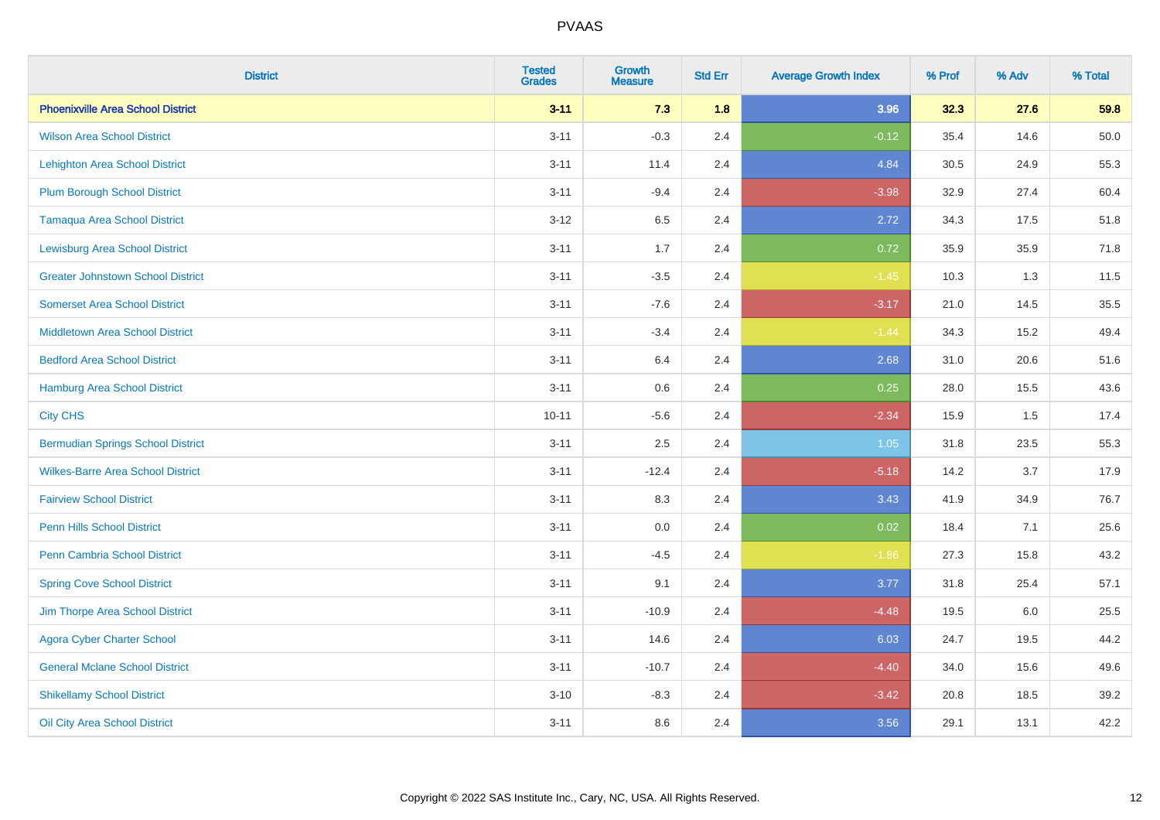| <b>District</b>                          | <b>Tested</b><br><b>Grades</b> | <b>Growth</b><br><b>Measure</b> | <b>Std Err</b> | <b>Average Growth Index</b> | % Prof | % Adv | % Total |
|------------------------------------------|--------------------------------|---------------------------------|----------------|-----------------------------|--------|-------|---------|
| <b>Phoenixville Area School District</b> | $3 - 11$                       | 7.3                             | 1.8            | 3.96                        | 32.3   | 27.6  | 59.8    |
| <b>Wilson Area School District</b>       | $3 - 11$                       | $-0.3$                          | 2.4            | $-0.12$                     | 35.4   | 14.6  | 50.0    |
| <b>Lehighton Area School District</b>    | $3 - 11$                       | 11.4                            | 2.4            | 4.84                        | 30.5   | 24.9  | 55.3    |
| <b>Plum Borough School District</b>      | $3 - 11$                       | $-9.4$                          | 2.4            | $-3.98$                     | 32.9   | 27.4  | 60.4    |
| <b>Tamaqua Area School District</b>      | $3 - 12$                       | 6.5                             | 2.4            | 2.72                        | 34.3   | 17.5  | 51.8    |
| <b>Lewisburg Area School District</b>    | $3 - 11$                       | 1.7                             | 2.4            | 0.72                        | 35.9   | 35.9  | 71.8    |
| <b>Greater Johnstown School District</b> | $3 - 11$                       | $-3.5$                          | 2.4            | $-1.45$                     | 10.3   | 1.3   | 11.5    |
| <b>Somerset Area School District</b>     | $3 - 11$                       | $-7.6$                          | 2.4            | $-3.17$                     | 21.0   | 14.5  | 35.5    |
| <b>Middletown Area School District</b>   | $3 - 11$                       | $-3.4$                          | 2.4            | $-1.44$                     | 34.3   | 15.2  | 49.4    |
| <b>Bedford Area School District</b>      | $3 - 11$                       | 6.4                             | 2.4            | 2.68                        | 31.0   | 20.6  | 51.6    |
| Hamburg Area School District             | $3 - 11$                       | 0.6                             | 2.4            | 0.25                        | 28.0   | 15.5  | 43.6    |
| <b>City CHS</b>                          | $10 - 11$                      | $-5.6$                          | 2.4            | $-2.34$                     | 15.9   | 1.5   | 17.4    |
| <b>Bermudian Springs School District</b> | $3 - 11$                       | 2.5                             | 2.4            | 1.05                        | 31.8   | 23.5  | 55.3    |
| <b>Wilkes-Barre Area School District</b> | $3 - 11$                       | $-12.4$                         | 2.4            | $-5.18$                     | 14.2   | 3.7   | 17.9    |
| <b>Fairview School District</b>          | $3 - 11$                       | 8.3                             | 2.4            | 3.43                        | 41.9   | 34.9  | 76.7    |
| <b>Penn Hills School District</b>        | $3 - 11$                       | 0.0                             | 2.4            | 0.02                        | 18.4   | 7.1   | 25.6    |
| Penn Cambria School District             | $3 - 11$                       | $-4.5$                          | 2.4            | $-1.86$                     | 27.3   | 15.8  | 43.2    |
| <b>Spring Cove School District</b>       | $3 - 11$                       | 9.1                             | 2.4            | 3.77                        | 31.8   | 25.4  | 57.1    |
| Jim Thorpe Area School District          | $3 - 11$                       | $-10.9$                         | 2.4            | $-4.48$                     | 19.5   | 6.0   | 25.5    |
| <b>Agora Cyber Charter School</b>        | $3 - 11$                       | 14.6                            | 2.4            | 6.03                        | 24.7   | 19.5  | 44.2    |
| <b>General Mclane School District</b>    | $3 - 11$                       | $-10.7$                         | 2.4            | $-4.40$                     | 34.0   | 15.6  | 49.6    |
| <b>Shikellamy School District</b>        | $3 - 10$                       | $-8.3$                          | 2.4            | $-3.42$                     | 20.8   | 18.5  | 39.2    |
| Oil City Area School District            | $3 - 11$                       | 8.6                             | 2.4            | 3.56                        | 29.1   | 13.1  | 42.2    |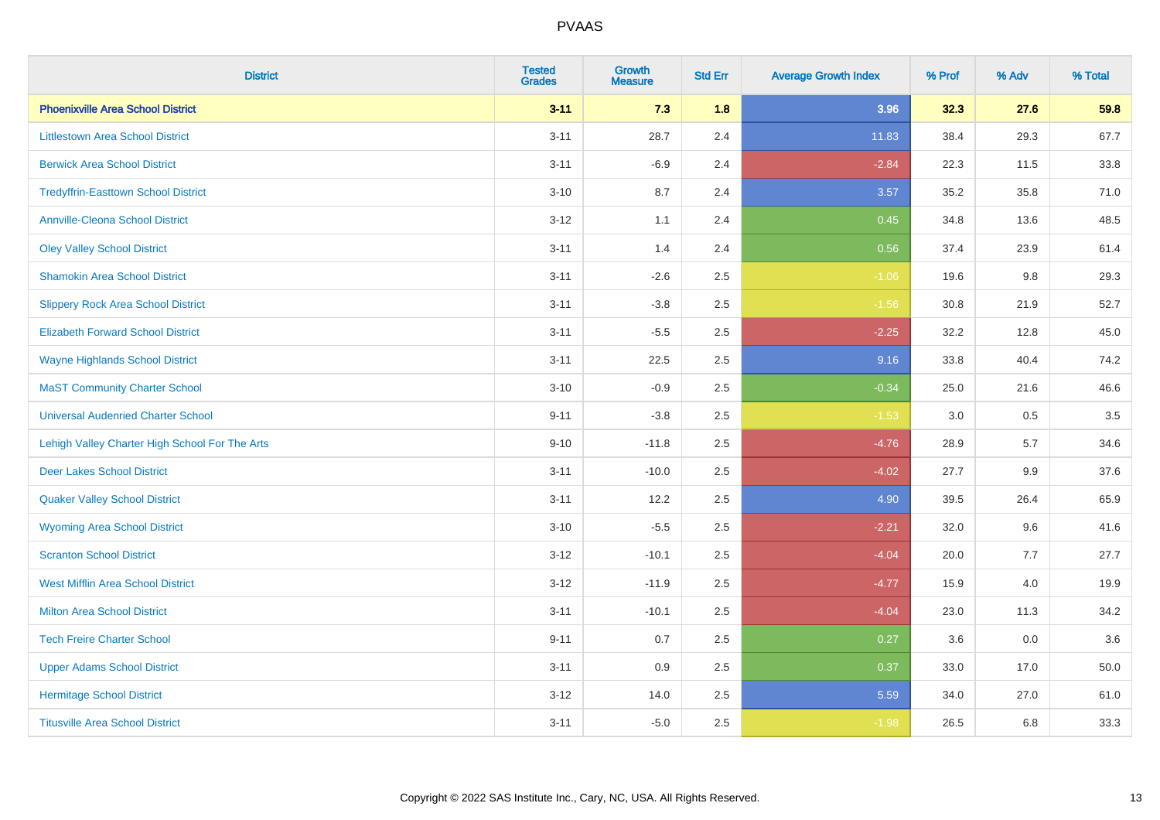| <b>District</b>                                | <b>Tested</b><br><b>Grades</b> | <b>Growth</b><br><b>Measure</b> | <b>Std Err</b> | <b>Average Growth Index</b> | % Prof | % Adv | % Total |
|------------------------------------------------|--------------------------------|---------------------------------|----------------|-----------------------------|--------|-------|---------|
| <b>Phoenixville Area School District</b>       | $3 - 11$                       | 7.3                             | 1.8            | 3.96                        | 32.3   | 27.6  | 59.8    |
| <b>Littlestown Area School District</b>        | $3 - 11$                       | 28.7                            | 2.4            | 11.83                       | 38.4   | 29.3  | 67.7    |
| <b>Berwick Area School District</b>            | $3 - 11$                       | $-6.9$                          | 2.4            | $-2.84$                     | 22.3   | 11.5  | 33.8    |
| <b>Tredyffrin-Easttown School District</b>     | $3 - 10$                       | 8.7                             | 2.4            | 3.57                        | 35.2   | 35.8  | 71.0    |
| <b>Annville-Cleona School District</b>         | $3-12$                         | 1.1                             | 2.4            | 0.45                        | 34.8   | 13.6  | 48.5    |
| <b>Oley Valley School District</b>             | $3 - 11$                       | 1.4                             | 2.4            | 0.56                        | 37.4   | 23.9  | 61.4    |
| <b>Shamokin Area School District</b>           | $3 - 11$                       | $-2.6$                          | 2.5            | $-1.06$                     | 19.6   | 9.8   | 29.3    |
| <b>Slippery Rock Area School District</b>      | $3 - 11$                       | $-3.8$                          | 2.5            | $-1.56$                     | 30.8   | 21.9  | 52.7    |
| <b>Elizabeth Forward School District</b>       | $3 - 11$                       | $-5.5$                          | 2.5            | $-2.25$                     | 32.2   | 12.8  | 45.0    |
| <b>Wayne Highlands School District</b>         | $3 - 11$                       | 22.5                            | 2.5            | 9.16                        | 33.8   | 40.4  | 74.2    |
| <b>MaST Community Charter School</b>           | $3 - 10$                       | $-0.9$                          | 2.5            | $-0.34$                     | 25.0   | 21.6  | 46.6    |
| <b>Universal Audenried Charter School</b>      | $9 - 11$                       | $-3.8$                          | 2.5            | $-1.53$                     | 3.0    | 0.5   | 3.5     |
| Lehigh Valley Charter High School For The Arts | $9 - 10$                       | $-11.8$                         | 2.5            | $-4.76$                     | 28.9   | 5.7   | 34.6    |
| <b>Deer Lakes School District</b>              | $3 - 11$                       | $-10.0$                         | 2.5            | $-4.02$                     | 27.7   | 9.9   | 37.6    |
| <b>Quaker Valley School District</b>           | $3 - 11$                       | 12.2                            | 2.5            | 4.90                        | 39.5   | 26.4  | 65.9    |
| <b>Wyoming Area School District</b>            | $3 - 10$                       | $-5.5$                          | 2.5            | $-2.21$                     | 32.0   | 9.6   | 41.6    |
| <b>Scranton School District</b>                | $3-12$                         | $-10.1$                         | 2.5            | $-4.04$                     | 20.0   | 7.7   | 27.7    |
| <b>West Mifflin Area School District</b>       | $3 - 12$                       | $-11.9$                         | 2.5            | $-4.77$                     | 15.9   | 4.0   | 19.9    |
| <b>Milton Area School District</b>             | $3 - 11$                       | $-10.1$                         | 2.5            | $-4.04$                     | 23.0   | 11.3  | 34.2    |
| <b>Tech Freire Charter School</b>              | $9 - 11$                       | 0.7                             | 2.5            | 0.27                        | 3.6    | 0.0   | 3.6     |
| <b>Upper Adams School District</b>             | $3 - 11$                       | 0.9                             | 2.5            | 0.37                        | 33.0   | 17.0  | 50.0    |
| <b>Hermitage School District</b>               | $3-12$                         | 14.0                            | 2.5            | 5.59                        | 34.0   | 27.0  | 61.0    |
| <b>Titusville Area School District</b>         | $3 - 11$                       | $-5.0$                          | 2.5            | $-1.98$                     | 26.5   | 6.8   | 33.3    |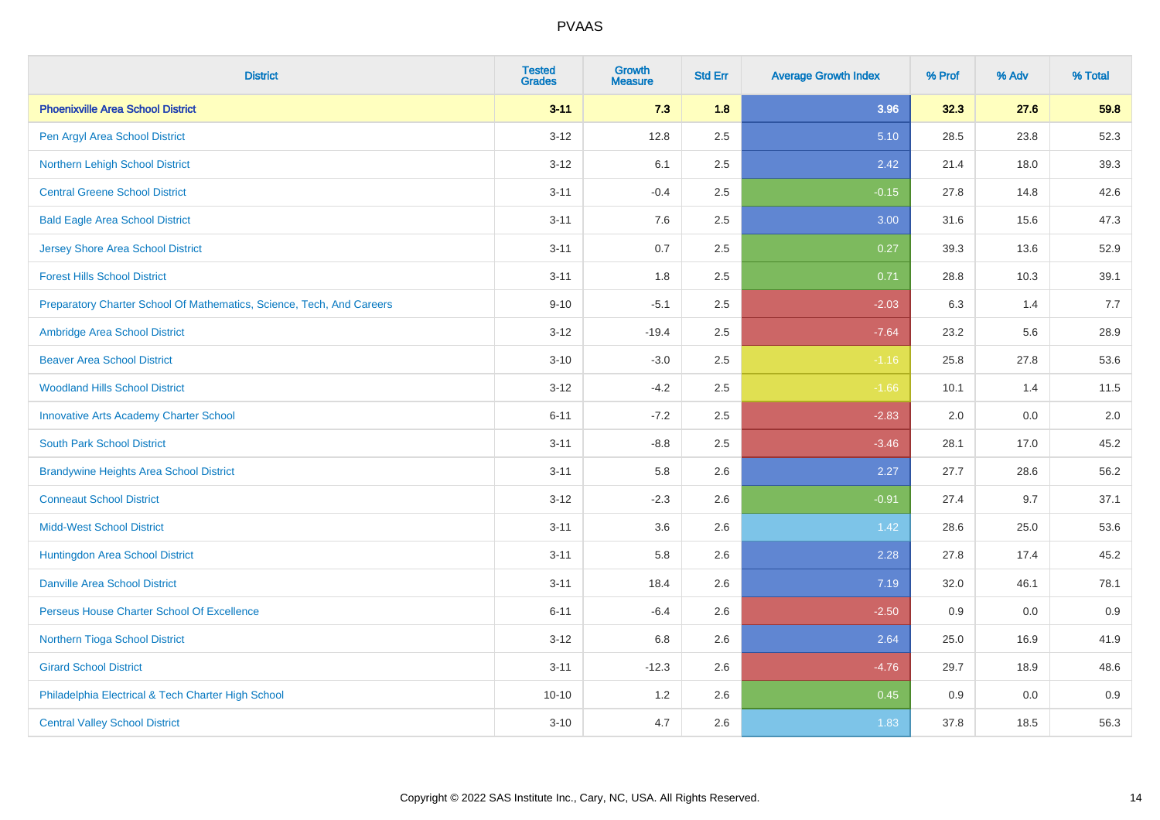| <b>District</b>                                                       | <b>Tested</b><br><b>Grades</b> | <b>Growth</b><br><b>Measure</b> | <b>Std Err</b> | <b>Average Growth Index</b> | % Prof | % Adv | % Total |
|-----------------------------------------------------------------------|--------------------------------|---------------------------------|----------------|-----------------------------|--------|-------|---------|
| <b>Phoenixville Area School District</b>                              | $3 - 11$                       | 7.3                             | 1.8            | 3.96                        | 32.3   | 27.6  | 59.8    |
| Pen Argyl Area School District                                        | $3 - 12$                       | 12.8                            | 2.5            | 5.10                        | 28.5   | 23.8  | 52.3    |
| Northern Lehigh School District                                       | $3 - 12$                       | 6.1                             | 2.5            | 2.42                        | 21.4   | 18.0  | 39.3    |
| <b>Central Greene School District</b>                                 | $3 - 11$                       | $-0.4$                          | 2.5            | $-0.15$                     | 27.8   | 14.8  | 42.6    |
| <b>Bald Eagle Area School District</b>                                | $3 - 11$                       | 7.6                             | 2.5            | 3.00                        | 31.6   | 15.6  | 47.3    |
| <b>Jersey Shore Area School District</b>                              | $3 - 11$                       | 0.7                             | 2.5            | 0.27                        | 39.3   | 13.6  | 52.9    |
| <b>Forest Hills School District</b>                                   | $3 - 11$                       | 1.8                             | 2.5            | 0.71                        | 28.8   | 10.3  | 39.1    |
| Preparatory Charter School Of Mathematics, Science, Tech, And Careers | $9 - 10$                       | $-5.1$                          | 2.5            | $-2.03$                     | 6.3    | 1.4   | 7.7     |
| Ambridge Area School District                                         | $3 - 12$                       | $-19.4$                         | 2.5            | $-7.64$                     | 23.2   | 5.6   | 28.9    |
| <b>Beaver Area School District</b>                                    | $3 - 10$                       | $-3.0$                          | 2.5            | $-1.16$                     | 25.8   | 27.8  | 53.6    |
| <b>Woodland Hills School District</b>                                 | $3 - 12$                       | $-4.2$                          | 2.5            | $-1.66$                     | 10.1   | 1.4   | 11.5    |
| <b>Innovative Arts Academy Charter School</b>                         | $6 - 11$                       | $-7.2$                          | 2.5            | $-2.83$                     | 2.0    | 0.0   | 2.0     |
| <b>South Park School District</b>                                     | $3 - 11$                       | $-8.8$                          | 2.5            | $-3.46$                     | 28.1   | 17.0  | 45.2    |
| <b>Brandywine Heights Area School District</b>                        | $3 - 11$                       | 5.8                             | 2.6            | 2.27                        | 27.7   | 28.6  | 56.2    |
| <b>Conneaut School District</b>                                       | $3 - 12$                       | $-2.3$                          | 2.6            | $-0.91$                     | 27.4   | 9.7   | 37.1    |
| <b>Midd-West School District</b>                                      | $3 - 11$                       | 3.6                             | 2.6            | 1.42                        | 28.6   | 25.0  | 53.6    |
| Huntingdon Area School District                                       | $3 - 11$                       | 5.8                             | 2.6            | 2.28                        | 27.8   | 17.4  | 45.2    |
| <b>Danville Area School District</b>                                  | $3 - 11$                       | 18.4                            | 2.6            | 7.19                        | 32.0   | 46.1  | 78.1    |
| Perseus House Charter School Of Excellence                            | $6 - 11$                       | $-6.4$                          | 2.6            | $-2.50$                     | 0.9    | 0.0   | 0.9     |
| Northern Tioga School District                                        | $3 - 12$                       | 6.8                             | 2.6            | 2.64                        | 25.0   | 16.9  | 41.9    |
| <b>Girard School District</b>                                         | $3 - 11$                       | $-12.3$                         | 2.6            | $-4.76$                     | 29.7   | 18.9  | 48.6    |
| Philadelphia Electrical & Tech Charter High School                    | $10 - 10$                      | 1.2                             | 2.6            | 0.45                        | 0.9    | 0.0   | 0.9     |
| <b>Central Valley School District</b>                                 | $3 - 10$                       | 4.7                             | 2.6            | 1.83                        | 37.8   | 18.5  | 56.3    |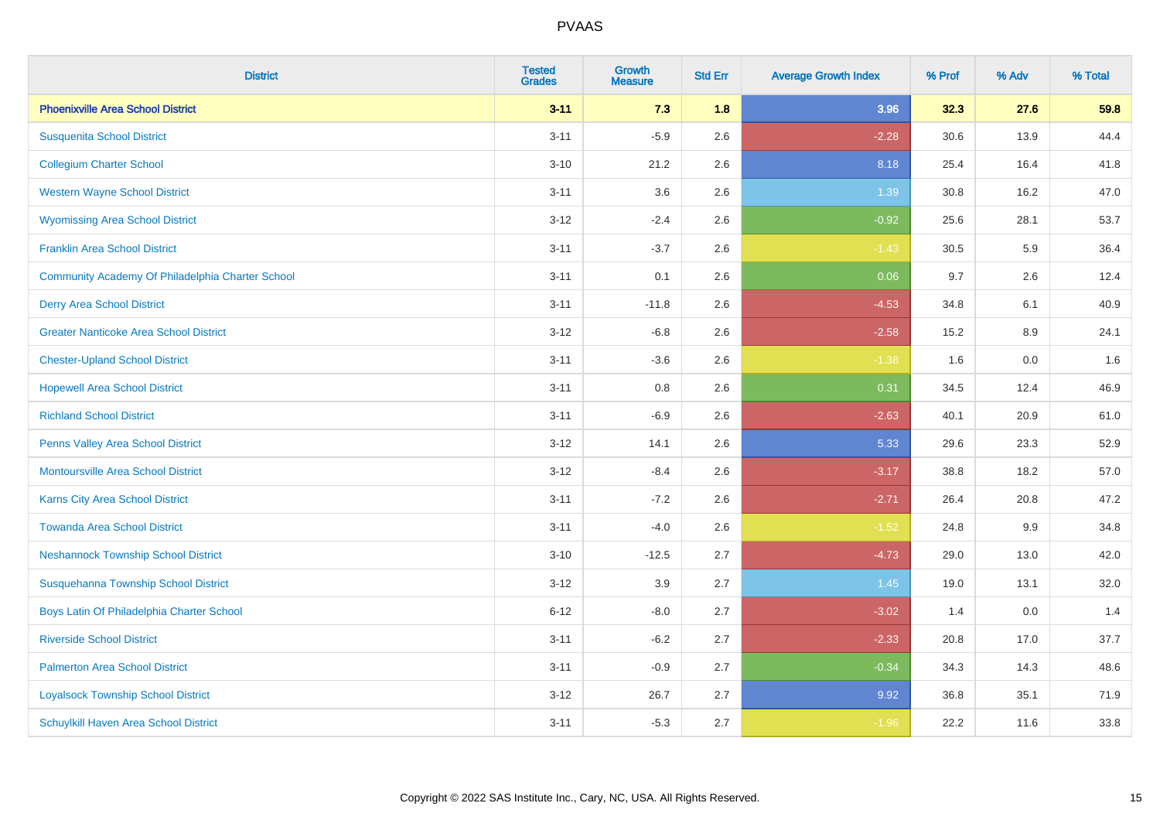| <b>District</b>                                  | <b>Tested</b><br><b>Grades</b> | <b>Growth</b><br><b>Measure</b> | <b>Std Err</b> | <b>Average Growth Index</b> | % Prof | % Adv | % Total |
|--------------------------------------------------|--------------------------------|---------------------------------|----------------|-----------------------------|--------|-------|---------|
| <b>Phoenixville Area School District</b>         | $3 - 11$                       | 7.3                             | 1.8            | 3.96                        | 32.3   | 27.6  | 59.8    |
| <b>Susquenita School District</b>                | $3 - 11$                       | $-5.9$                          | 2.6            | $-2.28$                     | 30.6   | 13.9  | 44.4    |
| <b>Collegium Charter School</b>                  | $3 - 10$                       | 21.2                            | 2.6            | 8.18                        | 25.4   | 16.4  | 41.8    |
| <b>Western Wayne School District</b>             | $3 - 11$                       | 3.6                             | 2.6            | 1.39                        | 30.8   | 16.2  | 47.0    |
| <b>Wyomissing Area School District</b>           | $3-12$                         | $-2.4$                          | 2.6            | $-0.92$                     | 25.6   | 28.1  | 53.7    |
| <b>Franklin Area School District</b>             | $3 - 11$                       | $-3.7$                          | 2.6            | $-1.43$                     | 30.5   | 5.9   | 36.4    |
| Community Academy Of Philadelphia Charter School | $3 - 11$                       | 0.1                             | 2.6            | 0.06                        | 9.7    | 2.6   | 12.4    |
| <b>Derry Area School District</b>                | $3 - 11$                       | $-11.8$                         | 2.6            | $-4.53$                     | 34.8   | 6.1   | 40.9    |
| <b>Greater Nanticoke Area School District</b>    | $3 - 12$                       | $-6.8$                          | 2.6            | $-2.58$                     | 15.2   | 8.9   | 24.1    |
| <b>Chester-Upland School District</b>            | $3 - 11$                       | $-3.6$                          | 2.6            | $-1.38$                     | 1.6    | 0.0   | 1.6     |
| <b>Hopewell Area School District</b>             | $3 - 11$                       | 0.8                             | 2.6            | 0.31                        | 34.5   | 12.4  | 46.9    |
| <b>Richland School District</b>                  | $3 - 11$                       | $-6.9$                          | 2.6            | $-2.63$                     | 40.1   | 20.9  | 61.0    |
| Penns Valley Area School District                | $3 - 12$                       | 14.1                            | 2.6            | 5.33                        | 29.6   | 23.3  | 52.9    |
| <b>Montoursville Area School District</b>        | $3 - 12$                       | $-8.4$                          | 2.6            | $-3.17$                     | 38.8   | 18.2  | 57.0    |
| Karns City Area School District                  | $3 - 11$                       | $-7.2$                          | 2.6            | $-2.71$                     | 26.4   | 20.8  | 47.2    |
| <b>Towanda Area School District</b>              | $3 - 11$                       | $-4.0$                          | 2.6            | $-1.52$                     | 24.8   | 9.9   | 34.8    |
| <b>Neshannock Township School District</b>       | $3 - 10$                       | $-12.5$                         | 2.7            | $-4.73$                     | 29.0   | 13.0  | 42.0    |
| Susquehanna Township School District             | $3 - 12$                       | 3.9                             | 2.7            | 1.45                        | 19.0   | 13.1  | 32.0    |
| Boys Latin Of Philadelphia Charter School        | $6 - 12$                       | $-8.0$                          | 2.7            | $-3.02$                     | 1.4    | 0.0   | 1.4     |
| <b>Riverside School District</b>                 | $3 - 11$                       | $-6.2$                          | 2.7            | $-2.33$                     | 20.8   | 17.0  | 37.7    |
| <b>Palmerton Area School District</b>            | $3 - 11$                       | $-0.9$                          | 2.7            | $-0.34$                     | 34.3   | 14.3  | 48.6    |
| <b>Loyalsock Township School District</b>        | $3 - 12$                       | 26.7                            | 2.7            | 9.92                        | 36.8   | 35.1  | 71.9    |
| <b>Schuylkill Haven Area School District</b>     | $3 - 11$                       | $-5.3$                          | 2.7            | $-1.96$                     | 22.2   | 11.6  | 33.8    |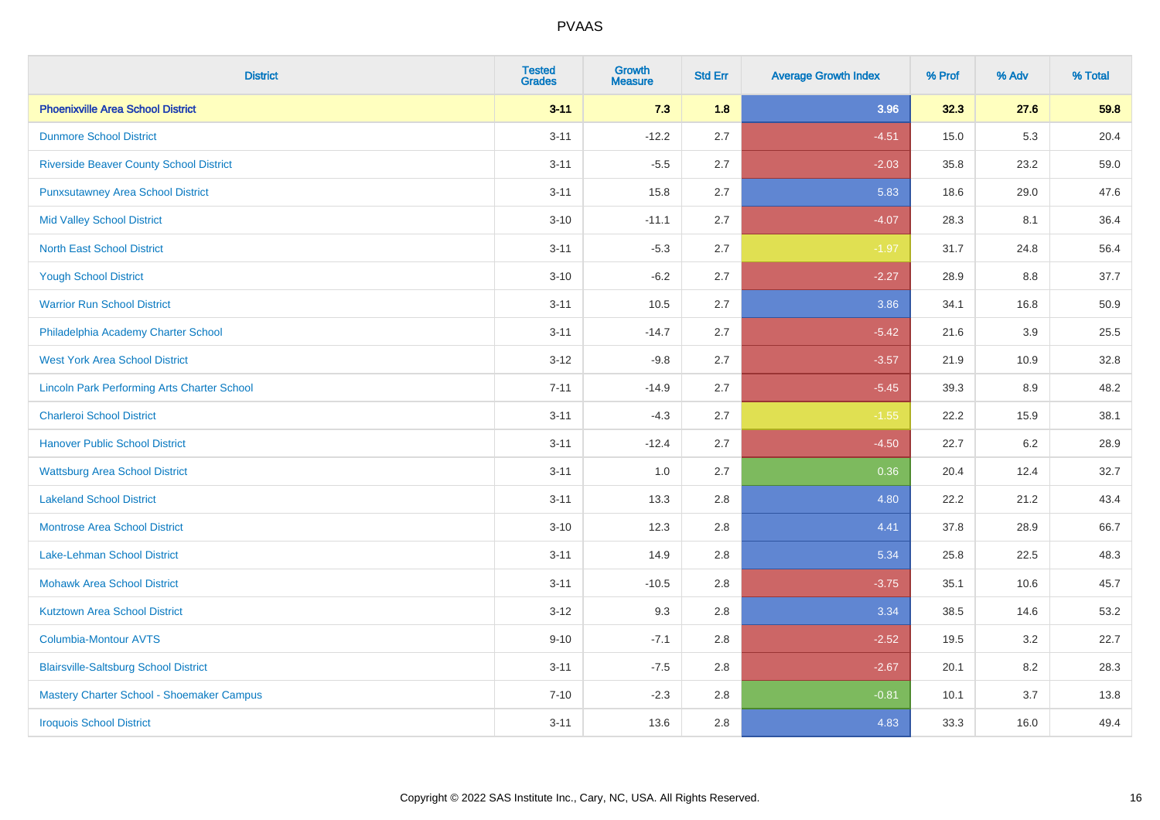| <b>District</b>                                    | <b>Tested</b><br><b>Grades</b> | <b>Growth</b><br><b>Measure</b> | <b>Std Err</b> | <b>Average Growth Index</b> | % Prof | % Adv   | % Total |
|----------------------------------------------------|--------------------------------|---------------------------------|----------------|-----------------------------|--------|---------|---------|
| <b>Phoenixville Area School District</b>           | $3 - 11$                       | 7.3                             | 1.8            | 3.96                        | 32.3   | 27.6    | 59.8    |
| <b>Dunmore School District</b>                     | $3 - 11$                       | $-12.2$                         | 2.7            | $-4.51$                     | 15.0   | 5.3     | 20.4    |
| <b>Riverside Beaver County School District</b>     | $3 - 11$                       | $-5.5$                          | 2.7            | $-2.03$                     | 35.8   | 23.2    | 59.0    |
| <b>Punxsutawney Area School District</b>           | $3 - 11$                       | 15.8                            | 2.7            | 5.83                        | 18.6   | 29.0    | 47.6    |
| <b>Mid Valley School District</b>                  | $3 - 10$                       | $-11.1$                         | 2.7            | $-4.07$                     | 28.3   | 8.1     | 36.4    |
| <b>North East School District</b>                  | $3 - 11$                       | $-5.3$                          | 2.7            | $-1.97$                     | 31.7   | 24.8    | 56.4    |
| <b>Yough School District</b>                       | $3 - 10$                       | $-6.2$                          | 2.7            | $-2.27$                     | 28.9   | 8.8     | 37.7    |
| <b>Warrior Run School District</b>                 | $3 - 11$                       | 10.5                            | 2.7            | 3.86                        | 34.1   | 16.8    | 50.9    |
| Philadelphia Academy Charter School                | $3 - 11$                       | $-14.7$                         | 2.7            | $-5.42$                     | 21.6   | 3.9     | 25.5    |
| <b>West York Area School District</b>              | $3 - 12$                       | $-9.8$                          | 2.7            | $-3.57$                     | 21.9   | 10.9    | 32.8    |
| <b>Lincoln Park Performing Arts Charter School</b> | $7 - 11$                       | $-14.9$                         | 2.7            | $-5.45$                     | 39.3   | 8.9     | 48.2    |
| <b>Charleroi School District</b>                   | $3 - 11$                       | $-4.3$                          | 2.7            | $-1.55$                     | 22.2   | 15.9    | 38.1    |
| <b>Hanover Public School District</b>              | $3 - 11$                       | $-12.4$                         | 2.7            | $-4.50$                     | 22.7   | $6.2\,$ | 28.9    |
| <b>Wattsburg Area School District</b>              | $3 - 11$                       | 1.0                             | 2.7            | 0.36                        | 20.4   | 12.4    | 32.7    |
| <b>Lakeland School District</b>                    | $3 - 11$                       | 13.3                            | 2.8            | 4.80                        | 22.2   | 21.2    | 43.4    |
| <b>Montrose Area School District</b>               | $3 - 10$                       | 12.3                            | 2.8            | 4.41                        | 37.8   | 28.9    | 66.7    |
| Lake-Lehman School District                        | $3 - 11$                       | 14.9                            | 2.8            | 5.34                        | 25.8   | 22.5    | 48.3    |
| <b>Mohawk Area School District</b>                 | $3 - 11$                       | $-10.5$                         | 2.8            | $-3.75$                     | 35.1   | 10.6    | 45.7    |
| <b>Kutztown Area School District</b>               | $3 - 12$                       | 9.3                             | 2.8            | 3.34                        | 38.5   | 14.6    | 53.2    |
| Columbia-Montour AVTS                              | $9 - 10$                       | $-7.1$                          | 2.8            | $-2.52$                     | 19.5   | 3.2     | 22.7    |
| <b>Blairsville-Saltsburg School District</b>       | $3 - 11$                       | $-7.5$                          | 2.8            | $-2.67$                     | 20.1   | 8.2     | 28.3    |
| Mastery Charter School - Shoemaker Campus          | $7 - 10$                       | $-2.3$                          | 2.8            | $-0.81$                     | 10.1   | 3.7     | 13.8    |
| <b>Iroquois School District</b>                    | $3 - 11$                       | 13.6                            | 2.8            | 4.83                        | 33.3   | 16.0    | 49.4    |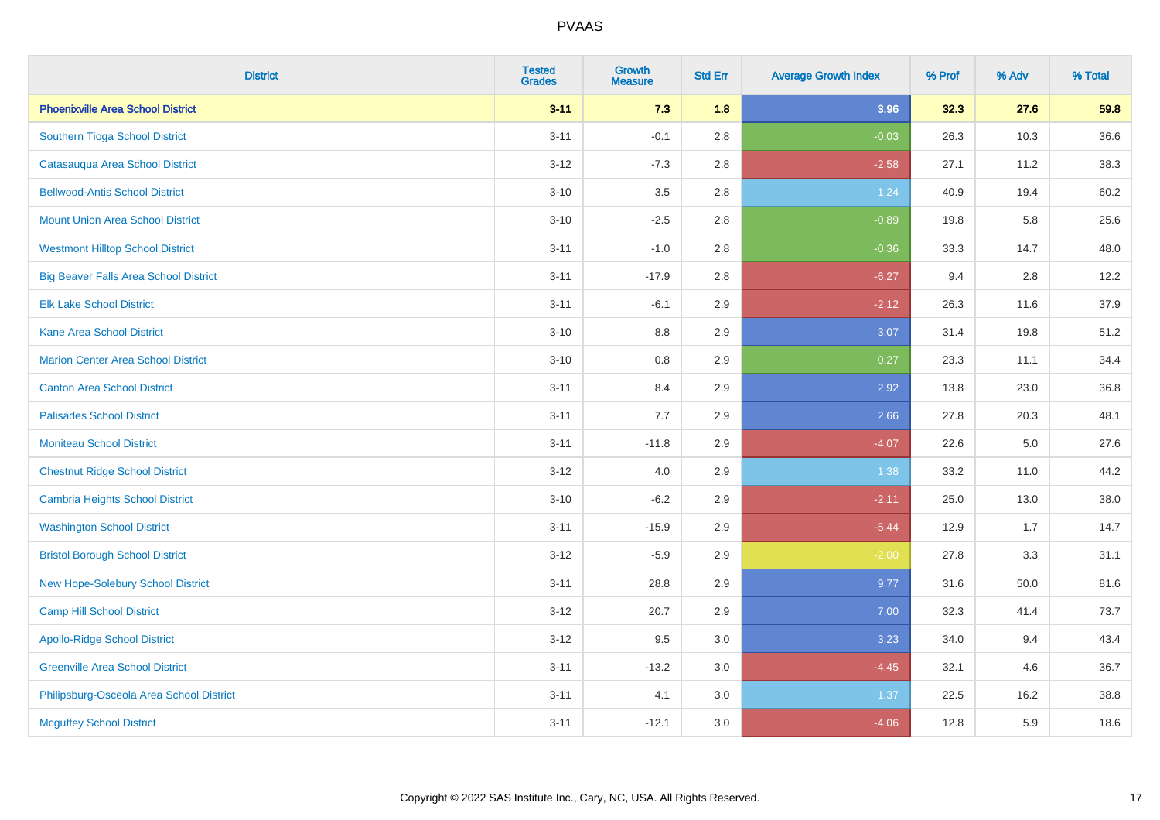| <b>District</b>                              | <b>Tested</b><br><b>Grades</b> | <b>Growth</b><br><b>Measure</b> | <b>Std Err</b> | <b>Average Growth Index</b> | % Prof | % Adv | % Total |
|----------------------------------------------|--------------------------------|---------------------------------|----------------|-----------------------------|--------|-------|---------|
| <b>Phoenixville Area School District</b>     | $3 - 11$                       | 7.3                             | 1.8            | 3.96                        | 32.3   | 27.6  | 59.8    |
| Southern Tioga School District               | $3 - 11$                       | $-0.1$                          | 2.8            | $-0.03$                     | 26.3   | 10.3  | 36.6    |
| Catasauqua Area School District              | $3 - 12$                       | $-7.3$                          | 2.8            | $-2.58$                     | 27.1   | 11.2  | 38.3    |
| <b>Bellwood-Antis School District</b>        | $3 - 10$                       | $3.5\,$                         | 2.8            | 1.24                        | 40.9   | 19.4  | 60.2    |
| <b>Mount Union Area School District</b>      | $3 - 10$                       | $-2.5$                          | 2.8            | $-0.89$                     | 19.8   | 5.8   | 25.6    |
| <b>Westmont Hilltop School District</b>      | $3 - 11$                       | $-1.0$                          | 2.8            | $-0.36$                     | 33.3   | 14.7  | 48.0    |
| <b>Big Beaver Falls Area School District</b> | $3 - 11$                       | $-17.9$                         | 2.8            | $-6.27$                     | 9.4    | 2.8   | 12.2    |
| <b>Elk Lake School District</b>              | $3 - 11$                       | $-6.1$                          | 2.9            | $-2.12$                     | 26.3   | 11.6  | 37.9    |
| <b>Kane Area School District</b>             | $3 - 10$                       | 8.8                             | 2.9            | 3.07                        | 31.4   | 19.8  | 51.2    |
| <b>Marion Center Area School District</b>    | $3 - 10$                       | $0.8\,$                         | 2.9            | 0.27                        | 23.3   | 11.1  | 34.4    |
| <b>Canton Area School District</b>           | $3 - 11$                       | 8.4                             | 2.9            | 2.92                        | 13.8   | 23.0  | 36.8    |
| <b>Palisades School District</b>             | $3 - 11$                       | 7.7                             | 2.9            | 2.66                        | 27.8   | 20.3  | 48.1    |
| <b>Moniteau School District</b>              | $3 - 11$                       | $-11.8$                         | 2.9            | $-4.07$                     | 22.6   | 5.0   | 27.6    |
| <b>Chestnut Ridge School District</b>        | $3-12$                         | 4.0                             | 2.9            | 1.38                        | 33.2   | 11.0  | 44.2    |
| <b>Cambria Heights School District</b>       | $3 - 10$                       | $-6.2$                          | 2.9            | $-2.11$                     | 25.0   | 13.0  | 38.0    |
| <b>Washington School District</b>            | $3 - 11$                       | $-15.9$                         | 2.9            | $-5.44$                     | 12.9   | 1.7   | 14.7    |
| <b>Bristol Borough School District</b>       | $3 - 12$                       | $-5.9$                          | 2.9            | $-2.00$                     | 27.8   | 3.3   | 31.1    |
| New Hope-Solebury School District            | $3 - 11$                       | 28.8                            | 2.9            | 9.77                        | 31.6   | 50.0  | 81.6    |
| <b>Camp Hill School District</b>             | $3 - 12$                       | 20.7                            | 2.9            | 7.00                        | 32.3   | 41.4  | 73.7    |
| <b>Apollo-Ridge School District</b>          | $3 - 12$                       | 9.5                             | 3.0            | 3.23                        | 34.0   | 9.4   | 43.4    |
| <b>Greenville Area School District</b>       | $3 - 11$                       | $-13.2$                         | 3.0            | $-4.45$                     | 32.1   | 4.6   | 36.7    |
| Philipsburg-Osceola Area School District     | $3 - 11$                       | 4.1                             | 3.0            | 1.37                        | 22.5   | 16.2  | 38.8    |
| <b>Mcguffey School District</b>              | $3 - 11$                       | $-12.1$                         | 3.0            | $-4.06$                     | 12.8   | 5.9   | 18.6    |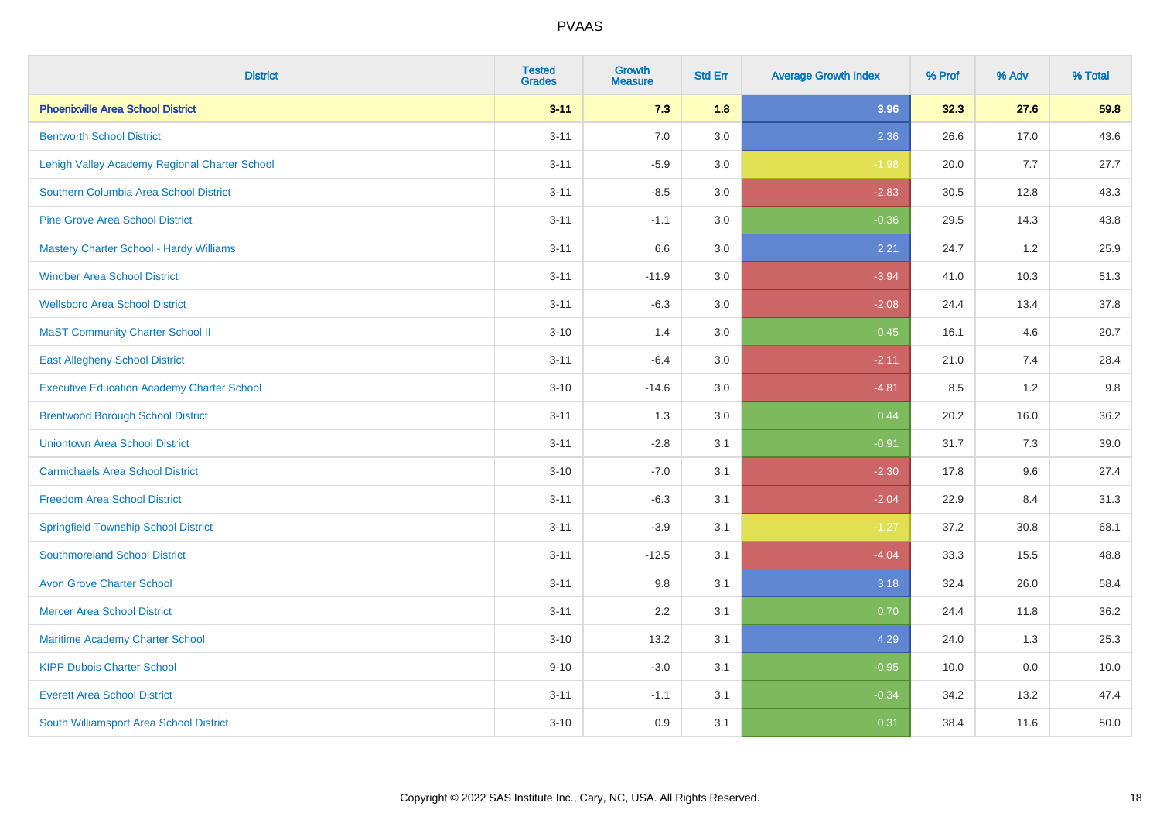| <b>District</b>                                   | <b>Tested</b><br><b>Grades</b> | <b>Growth</b><br><b>Measure</b> | <b>Std Err</b> | <b>Average Growth Index</b> | % Prof | % Adv | % Total |
|---------------------------------------------------|--------------------------------|---------------------------------|----------------|-----------------------------|--------|-------|---------|
| <b>Phoenixville Area School District</b>          | $3 - 11$                       | 7.3                             | 1.8            | 3.96                        | 32.3   | 27.6  | 59.8    |
| <b>Bentworth School District</b>                  | $3 - 11$                       | 7.0                             | 3.0            | 2.36                        | 26.6   | 17.0  | 43.6    |
| Lehigh Valley Academy Regional Charter School     | $3 - 11$                       | $-5.9$                          | 3.0            | $-1.98$                     | 20.0   | 7.7   | 27.7    |
| Southern Columbia Area School District            | $3 - 11$                       | $-8.5$                          | 3.0            | $-2.83$                     | 30.5   | 12.8  | 43.3    |
| <b>Pine Grove Area School District</b>            | $3 - 11$                       | $-1.1$                          | 3.0            | $-0.36$                     | 29.5   | 14.3  | 43.8    |
| <b>Mastery Charter School - Hardy Williams</b>    | $3 - 11$                       | 6.6                             | 3.0            | 2.21                        | 24.7   | 1.2   | 25.9    |
| <b>Windber Area School District</b>               | $3 - 11$                       | $-11.9$                         | 3.0            | $-3.94$                     | 41.0   | 10.3  | 51.3    |
| <b>Wellsboro Area School District</b>             | $3 - 11$                       | $-6.3$                          | 3.0            | $-2.08$                     | 24.4   | 13.4  | 37.8    |
| <b>MaST Community Charter School II</b>           | $3 - 10$                       | 1.4                             | 3.0            | 0.45                        | 16.1   | 4.6   | 20.7    |
| <b>East Allegheny School District</b>             | $3 - 11$                       | $-6.4$                          | 3.0            | $-2.11$                     | 21.0   | 7.4   | 28.4    |
| <b>Executive Education Academy Charter School</b> | $3 - 10$                       | $-14.6$                         | 3.0            | $-4.81$                     | 8.5    | 1.2   | 9.8     |
| <b>Brentwood Borough School District</b>          | $3 - 11$                       | 1.3                             | 3.0            | 0.44                        | 20.2   | 16.0  | 36.2    |
| <b>Uniontown Area School District</b>             | $3 - 11$                       | $-2.8$                          | 3.1            | $-0.91$                     | 31.7   | 7.3   | 39.0    |
| <b>Carmichaels Area School District</b>           | $3 - 10$                       | $-7.0$                          | 3.1            | $-2.30$                     | 17.8   | 9.6   | 27.4    |
| <b>Freedom Area School District</b>               | $3 - 11$                       | $-6.3$                          | 3.1            | $-2.04$                     | 22.9   | 8.4   | 31.3    |
| <b>Springfield Township School District</b>       | $3 - 11$                       | $-3.9$                          | 3.1            | $-1.27$                     | 37.2   | 30.8  | 68.1    |
| <b>Southmoreland School District</b>              | $3 - 11$                       | $-12.5$                         | 3.1            | $-4.04$                     | 33.3   | 15.5  | 48.8    |
| <b>Avon Grove Charter School</b>                  | $3 - 11$                       | 9.8                             | 3.1            | 3.18                        | 32.4   | 26.0  | 58.4    |
| <b>Mercer Area School District</b>                | $3 - 11$                       | 2.2                             | 3.1            | 0.70                        | 24.4   | 11.8  | 36.2    |
| Maritime Academy Charter School                   | $3 - 10$                       | 13.2                            | 3.1            | 4.29                        | 24.0   | 1.3   | 25.3    |
| <b>KIPP Dubois Charter School</b>                 | $9 - 10$                       | $-3.0$                          | 3.1            | $-0.95$                     | 10.0   | 0.0   | 10.0    |
| <b>Everett Area School District</b>               | $3 - 11$                       | $-1.1$                          | 3.1            | $-0.34$                     | 34.2   | 13.2  | 47.4    |
| South Williamsport Area School District           | $3 - 10$                       | 0.9                             | 3.1            | 0.31                        | 38.4   | 11.6  | 50.0    |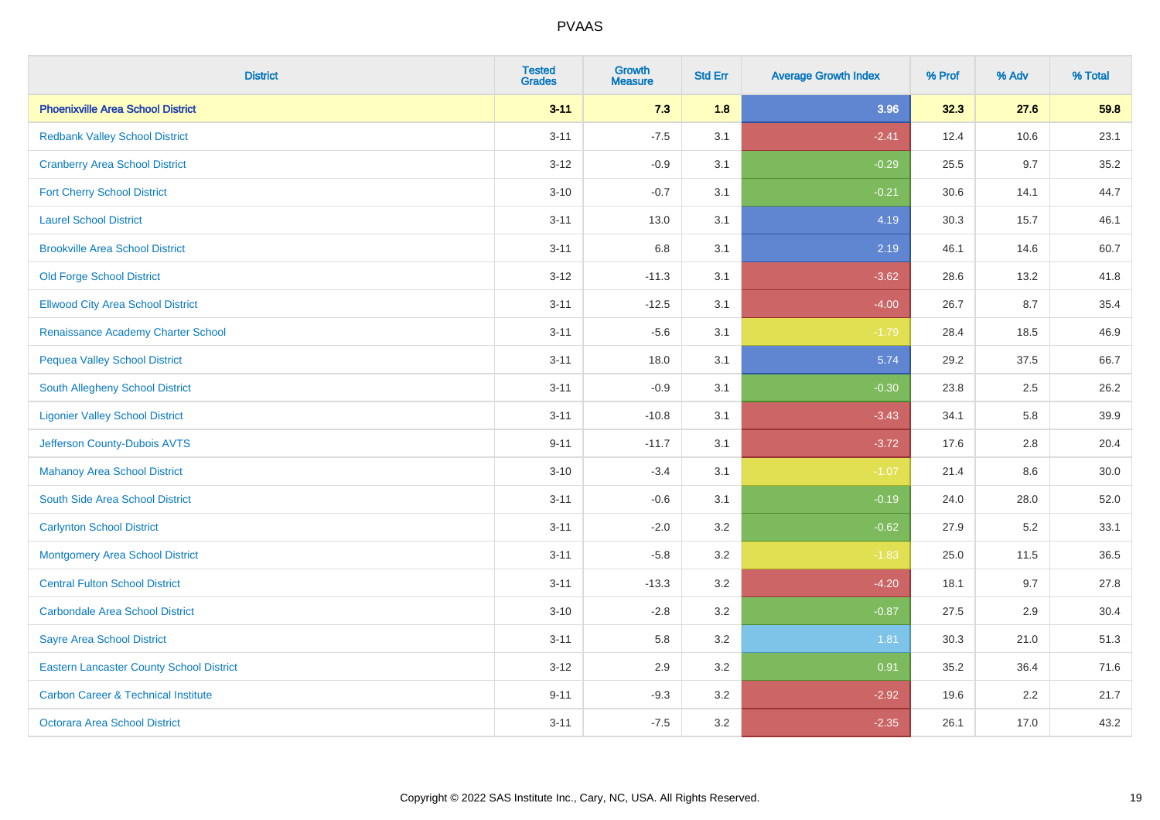| <b>District</b>                                 | <b>Tested</b><br><b>Grades</b> | <b>Growth</b><br><b>Measure</b> | <b>Std Err</b> | <b>Average Growth Index</b> | % Prof | % Adv | % Total |
|-------------------------------------------------|--------------------------------|---------------------------------|----------------|-----------------------------|--------|-------|---------|
| <b>Phoenixville Area School District</b>        | $3 - 11$                       | 7.3                             | 1.8            | 3.96                        | 32.3   | 27.6  | 59.8    |
| <b>Redbank Valley School District</b>           | $3 - 11$                       | $-7.5$                          | 3.1            | $-2.41$                     | 12.4   | 10.6  | 23.1    |
| <b>Cranberry Area School District</b>           | $3 - 12$                       | $-0.9$                          | 3.1            | $-0.29$                     | 25.5   | 9.7   | 35.2    |
| <b>Fort Cherry School District</b>              | $3 - 10$                       | $-0.7$                          | 3.1            | $-0.21$                     | 30.6   | 14.1  | 44.7    |
| <b>Laurel School District</b>                   | $3 - 11$                       | 13.0                            | 3.1            | 4.19                        | 30.3   | 15.7  | 46.1    |
| <b>Brookville Area School District</b>          | $3 - 11$                       | 6.8                             | 3.1            | 2.19                        | 46.1   | 14.6  | 60.7    |
| <b>Old Forge School District</b>                | $3-12$                         | $-11.3$                         | 3.1            | $-3.62$                     | 28.6   | 13.2  | 41.8    |
| <b>Ellwood City Area School District</b>        | $3 - 11$                       | $-12.5$                         | 3.1            | $-4.00$                     | 26.7   | 8.7   | 35.4    |
| Renaissance Academy Charter School              | $3 - 11$                       | $-5.6$                          | 3.1            | $-1.79$                     | 28.4   | 18.5  | 46.9    |
| <b>Pequea Valley School District</b>            | $3 - 11$                       | 18.0                            | 3.1            | 5.74                        | 29.2   | 37.5  | 66.7    |
| South Allegheny School District                 | $3 - 11$                       | $-0.9$                          | 3.1            | $-0.30$                     | 23.8   | 2.5   | 26.2    |
| <b>Ligonier Valley School District</b>          | $3 - 11$                       | $-10.8$                         | 3.1            | $-3.43$                     | 34.1   | 5.8   | 39.9    |
| Jefferson County-Dubois AVTS                    | $9 - 11$                       | $-11.7$                         | 3.1            | $-3.72$                     | 17.6   | 2.8   | 20.4    |
| <b>Mahanoy Area School District</b>             | $3 - 10$                       | $-3.4$                          | 3.1            | $-1.07$                     | 21.4   | 8.6   | 30.0    |
| South Side Area School District                 | $3 - 11$                       | $-0.6$                          | 3.1            | $-0.19$                     | 24.0   | 28.0  | 52.0    |
| <b>Carlynton School District</b>                | $3 - 11$                       | $-2.0$                          | 3.2            | $-0.62$                     | 27.9   | 5.2   | 33.1    |
| <b>Montgomery Area School District</b>          | $3 - 11$                       | $-5.8$                          | 3.2            | $-1.83$                     | 25.0   | 11.5  | 36.5    |
| <b>Central Fulton School District</b>           | $3 - 11$                       | $-13.3$                         | 3.2            | $-4.20$                     | 18.1   | 9.7   | 27.8    |
| <b>Carbondale Area School District</b>          | $3 - 10$                       | $-2.8$                          | 3.2            | $-0.87$                     | 27.5   | 2.9   | 30.4    |
| <b>Sayre Area School District</b>               | $3 - 11$                       | 5.8                             | 3.2            | 1.81                        | 30.3   | 21.0  | 51.3    |
| <b>Eastern Lancaster County School District</b> | $3 - 12$                       | 2.9                             | 3.2            | 0.91                        | 35.2   | 36.4  | 71.6    |
| <b>Carbon Career &amp; Technical Institute</b>  | $9 - 11$                       | $-9.3$                          | 3.2            | $-2.92$                     | 19.6   | 2.2   | 21.7    |
| <b>Octorara Area School District</b>            | $3 - 11$                       | $-7.5$                          | 3.2            | $-2.35$                     | 26.1   | 17.0  | 43.2    |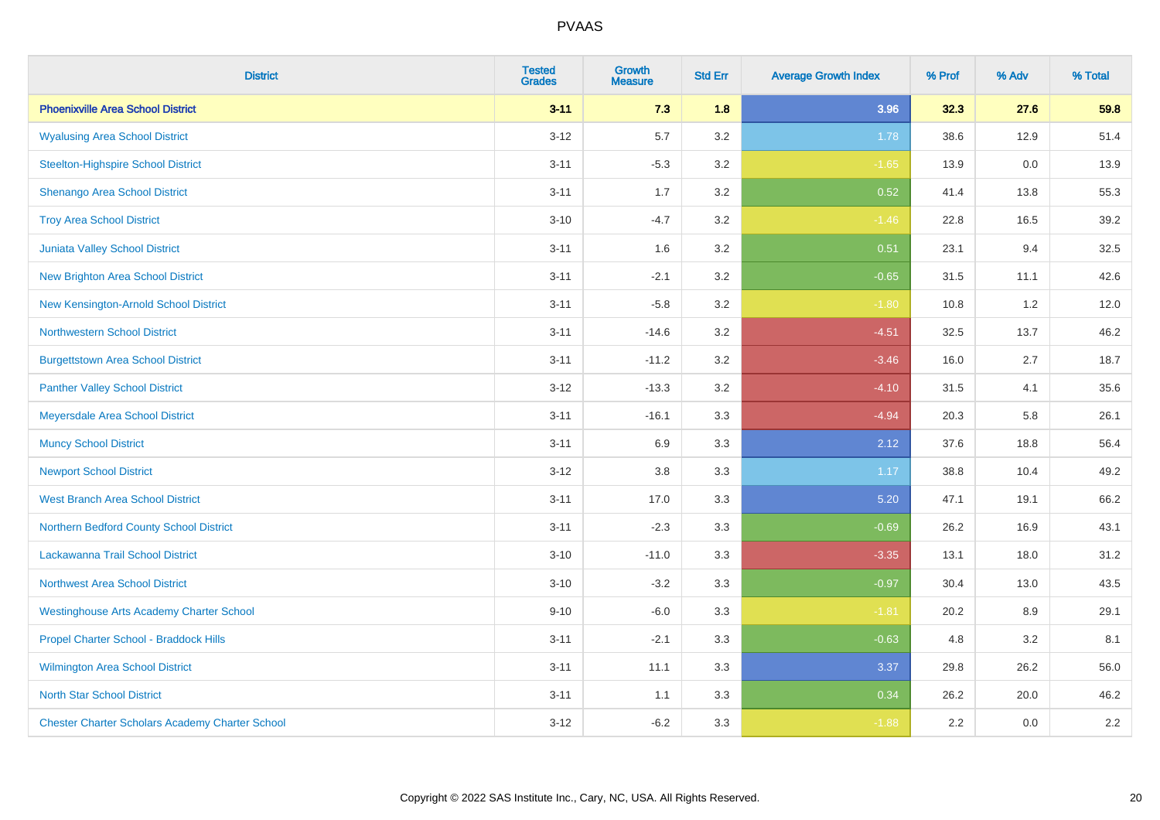| <b>District</b>                                        | <b>Tested</b><br><b>Grades</b> | <b>Growth</b><br><b>Measure</b> | <b>Std Err</b> | <b>Average Growth Index</b> | % Prof | % Adv | % Total |
|--------------------------------------------------------|--------------------------------|---------------------------------|----------------|-----------------------------|--------|-------|---------|
| <b>Phoenixville Area School District</b>               | $3 - 11$                       | 7.3                             | 1.8            | 3.96                        | 32.3   | 27.6  | 59.8    |
| <b>Wyalusing Area School District</b>                  | $3 - 12$                       | 5.7                             | 3.2            | 1.78                        | 38.6   | 12.9  | 51.4    |
| <b>Steelton-Highspire School District</b>              | $3 - 11$                       | $-5.3$                          | 3.2            | $-1.65$                     | 13.9   | 0.0   | 13.9    |
| <b>Shenango Area School District</b>                   | $3 - 11$                       | 1.7                             | 3.2            | 0.52                        | 41.4   | 13.8  | 55.3    |
| <b>Troy Area School District</b>                       | $3 - 10$                       | $-4.7$                          | 3.2            | $-1.46$                     | 22.8   | 16.5  | 39.2    |
| Juniata Valley School District                         | $3 - 11$                       | 1.6                             | 3.2            | 0.51                        | 23.1   | 9.4   | 32.5    |
| <b>New Brighton Area School District</b>               | $3 - 11$                       | $-2.1$                          | 3.2            | $-0.65$                     | 31.5   | 11.1  | 42.6    |
| New Kensington-Arnold School District                  | $3 - 11$                       | $-5.8$                          | 3.2            | $-1.80$                     | 10.8   | 1.2   | 12.0    |
| <b>Northwestern School District</b>                    | $3 - 11$                       | $-14.6$                         | 3.2            | $-4.51$                     | 32.5   | 13.7  | 46.2    |
| <b>Burgettstown Area School District</b>               | $3 - 11$                       | $-11.2$                         | 3.2            | $-3.46$                     | 16.0   | 2.7   | 18.7    |
| <b>Panther Valley School District</b>                  | $3 - 12$                       | $-13.3$                         | 3.2            | $-4.10$                     | 31.5   | 4.1   | 35.6    |
| Meyersdale Area School District                        | $3 - 11$                       | $-16.1$                         | 3.3            | $-4.94$                     | 20.3   | 5.8   | 26.1    |
| <b>Muncy School District</b>                           | $3 - 11$                       | 6.9                             | 3.3            | 2.12                        | 37.6   | 18.8  | 56.4    |
| <b>Newport School District</b>                         | $3 - 12$                       | 3.8                             | 3.3            | 1.17                        | 38.8   | 10.4  | 49.2    |
| <b>West Branch Area School District</b>                | $3 - 11$                       | 17.0                            | 3.3            | 5.20                        | 47.1   | 19.1  | 66.2    |
| Northern Bedford County School District                | $3 - 11$                       | $-2.3$                          | 3.3            | $-0.69$                     | 26.2   | 16.9  | 43.1    |
| Lackawanna Trail School District                       | $3 - 10$                       | $-11.0$                         | 3.3            | $-3.35$                     | 13.1   | 18.0  | 31.2    |
| Northwest Area School District                         | $3 - 10$                       | $-3.2$                          | 3.3            | $-0.97$                     | 30.4   | 13.0  | 43.5    |
| <b>Westinghouse Arts Academy Charter School</b>        | $9 - 10$                       | $-6.0$                          | 3.3            | $-1.81$                     | 20.2   | 8.9   | 29.1    |
| Propel Charter School - Braddock Hills                 | $3 - 11$                       | $-2.1$                          | 3.3            | $-0.63$                     | 4.8    | 3.2   | 8.1     |
| <b>Wilmington Area School District</b>                 | $3 - 11$                       | 11.1                            | 3.3            | 3.37                        | 29.8   | 26.2  | 56.0    |
| <b>North Star School District</b>                      | $3 - 11$                       | 1.1                             | 3.3            | 0.34                        | 26.2   | 20.0  | 46.2    |
| <b>Chester Charter Scholars Academy Charter School</b> | $3 - 12$                       | $-6.2$                          | 3.3            | $-1.88$                     | 2.2    | 0.0   | 2.2     |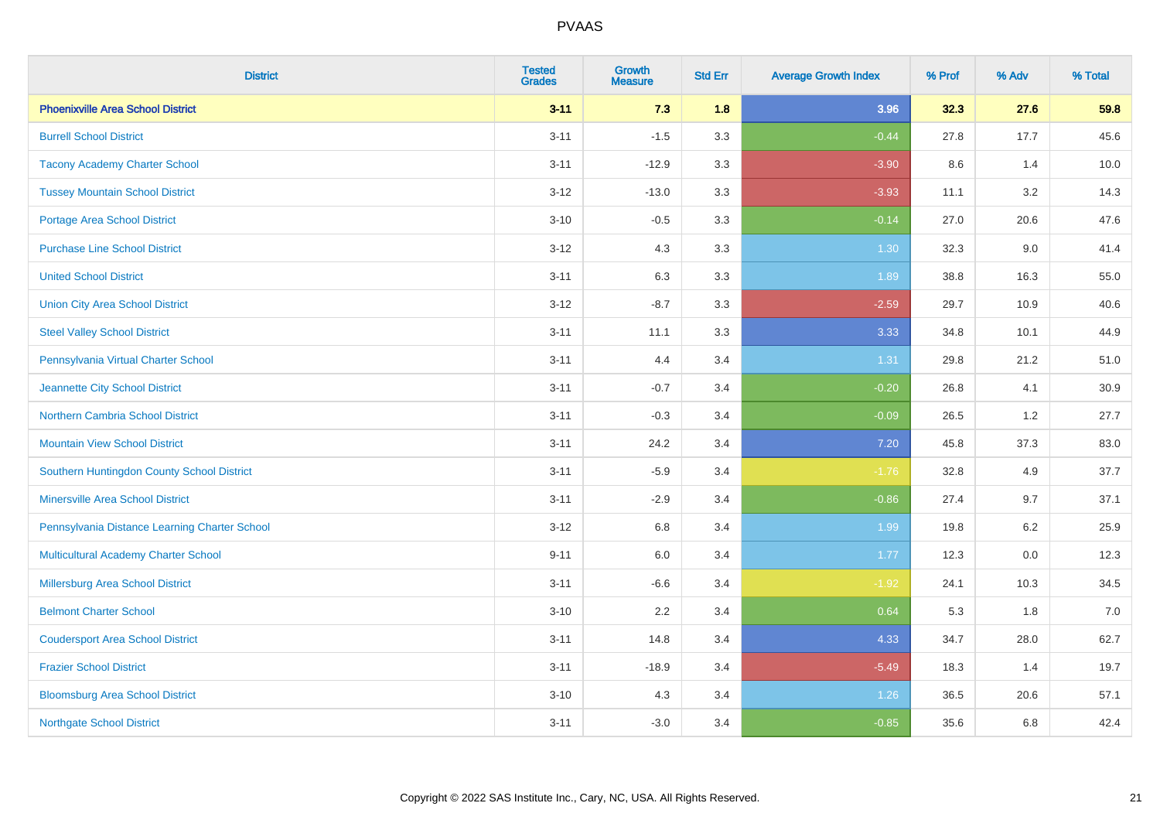| <b>District</b>                               | <b>Tested</b><br><b>Grades</b> | <b>Growth</b><br><b>Measure</b> | <b>Std Err</b> | <b>Average Growth Index</b> | % Prof | % Adv | % Total |
|-----------------------------------------------|--------------------------------|---------------------------------|----------------|-----------------------------|--------|-------|---------|
| <b>Phoenixville Area School District</b>      | $3 - 11$                       | 7.3                             | 1.8            | 3.96                        | 32.3   | 27.6  | 59.8    |
| <b>Burrell School District</b>                | $3 - 11$                       | $-1.5$                          | 3.3            | $-0.44$                     | 27.8   | 17.7  | 45.6    |
| <b>Tacony Academy Charter School</b>          | $3 - 11$                       | $-12.9$                         | 3.3            | $-3.90$                     | 8.6    | 1.4   | 10.0    |
| <b>Tussey Mountain School District</b>        | $3 - 12$                       | $-13.0$                         | 3.3            | $-3.93$                     | 11.1   | 3.2   | 14.3    |
| <b>Portage Area School District</b>           | $3 - 10$                       | $-0.5$                          | 3.3            | $-0.14$                     | 27.0   | 20.6  | 47.6    |
| <b>Purchase Line School District</b>          | $3 - 12$                       | 4.3                             | 3.3            | 1.30                        | 32.3   | 9.0   | 41.4    |
| <b>United School District</b>                 | $3 - 11$                       | 6.3                             | 3.3            | 1.89                        | 38.8   | 16.3  | 55.0    |
| <b>Union City Area School District</b>        | $3 - 12$                       | $-8.7$                          | 3.3            | $-2.59$                     | 29.7   | 10.9  | 40.6    |
| <b>Steel Valley School District</b>           | $3 - 11$                       | 11.1                            | 3.3            | 3.33                        | 34.8   | 10.1  | 44.9    |
| Pennsylvania Virtual Charter School           | $3 - 11$                       | 4.4                             | 3.4            | 1.31                        | 29.8   | 21.2  | 51.0    |
| Jeannette City School District                | $3 - 11$                       | $-0.7$                          | 3.4            | $-0.20$                     | 26.8   | 4.1   | 30.9    |
| <b>Northern Cambria School District</b>       | $3 - 11$                       | $-0.3$                          | 3.4            | $-0.09$                     | 26.5   | 1.2   | 27.7    |
| <b>Mountain View School District</b>          | $3 - 11$                       | 24.2                            | 3.4            | 7.20                        | 45.8   | 37.3  | 83.0    |
| Southern Huntingdon County School District    | $3 - 11$                       | $-5.9$                          | 3.4            | $-1.76$                     | 32.8   | 4.9   | 37.7    |
| <b>Minersville Area School District</b>       | $3 - 11$                       | $-2.9$                          | 3.4            | $-0.86$                     | 27.4   | 9.7   | 37.1    |
| Pennsylvania Distance Learning Charter School | $3 - 12$                       | 6.8                             | 3.4            | 1.99                        | 19.8   | 6.2   | 25.9    |
| <b>Multicultural Academy Charter School</b>   | $9 - 11$                       | 6.0                             | 3.4            | 1.77                        | 12.3   | 0.0   | 12.3    |
| Millersburg Area School District              | $3 - 11$                       | $-6.6$                          | 3.4            | $-1.92$                     | 24.1   | 10.3  | 34.5    |
| <b>Belmont Charter School</b>                 | $3 - 10$                       | 2.2                             | 3.4            | 0.64                        | 5.3    | 1.8   | 7.0     |
| <b>Coudersport Area School District</b>       | $3 - 11$                       | 14.8                            | 3.4            | 4.33                        | 34.7   | 28.0  | 62.7    |
| <b>Frazier School District</b>                | $3 - 11$                       | $-18.9$                         | 3.4            | $-5.49$                     | 18.3   | 1.4   | 19.7    |
| <b>Bloomsburg Area School District</b>        | $3 - 10$                       | 4.3                             | 3.4            | 1.26                        | 36.5   | 20.6  | 57.1    |
| <b>Northgate School District</b>              | $3 - 11$                       | $-3.0$                          | 3.4            | $-0.85$                     | 35.6   | 6.8   | 42.4    |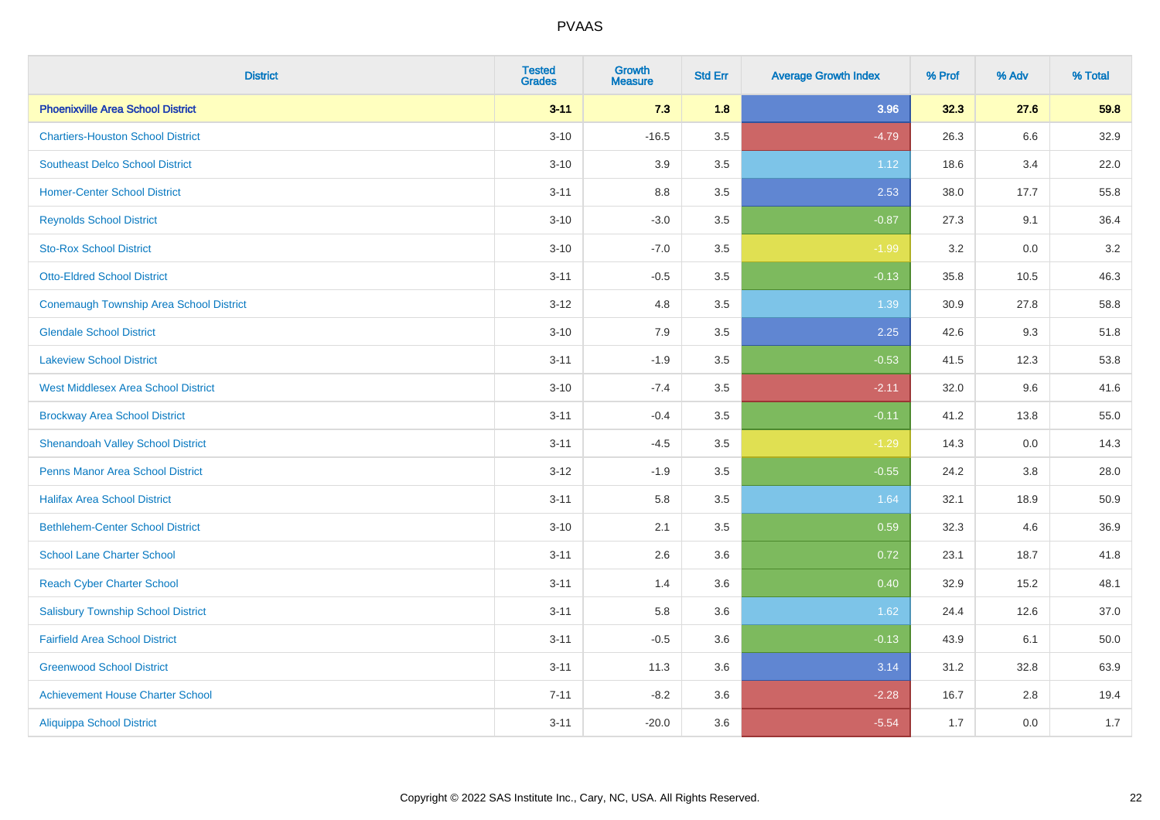| <b>District</b>                                | <b>Tested</b><br><b>Grades</b> | <b>Growth</b><br><b>Measure</b> | <b>Std Err</b> | <b>Average Growth Index</b> | % Prof | % Adv | % Total |
|------------------------------------------------|--------------------------------|---------------------------------|----------------|-----------------------------|--------|-------|---------|
| <b>Phoenixville Area School District</b>       | $3 - 11$                       | 7.3                             | 1.8            | 3.96                        | 32.3   | 27.6  | 59.8    |
| <b>Chartiers-Houston School District</b>       | $3 - 10$                       | $-16.5$                         | 3.5            | $-4.79$                     | 26.3   | 6.6   | 32.9    |
| <b>Southeast Delco School District</b>         | $3 - 10$                       | 3.9                             | 3.5            | 1.12                        | 18.6   | 3.4   | 22.0    |
| <b>Homer-Center School District</b>            | $3 - 11$                       | 8.8                             | 3.5            | 2.53                        | 38.0   | 17.7  | 55.8    |
| <b>Reynolds School District</b>                | $3 - 10$                       | $-3.0$                          | 3.5            | $-0.87$                     | 27.3   | 9.1   | 36.4    |
| <b>Sto-Rox School District</b>                 | $3 - 10$                       | $-7.0$                          | 3.5            | $-1.99$                     | 3.2    | 0.0   | 3.2     |
| <b>Otto-Eldred School District</b>             | $3 - 11$                       | $-0.5$                          | 3.5            | $-0.13$                     | 35.8   | 10.5  | 46.3    |
| <b>Conemaugh Township Area School District</b> | $3 - 12$                       | 4.8                             | 3.5            | 1.39                        | 30.9   | 27.8  | 58.8    |
| <b>Glendale School District</b>                | $3 - 10$                       | 7.9                             | 3.5            | 2.25                        | 42.6   | 9.3   | 51.8    |
| <b>Lakeview School District</b>                | $3 - 11$                       | $-1.9$                          | 3.5            | $-0.53$                     | 41.5   | 12.3  | 53.8    |
| <b>West Middlesex Area School District</b>     | $3 - 10$                       | $-7.4$                          | 3.5            | $-2.11$                     | 32.0   | 9.6   | 41.6    |
| <b>Brockway Area School District</b>           | $3 - 11$                       | $-0.4$                          | 3.5            | $-0.11$                     | 41.2   | 13.8  | 55.0    |
| <b>Shenandoah Valley School District</b>       | $3 - 11$                       | $-4.5$                          | 3.5            | $-1.29$                     | 14.3   | 0.0   | 14.3    |
| <b>Penns Manor Area School District</b>        | $3 - 12$                       | $-1.9$                          | 3.5            | $-0.55$                     | 24.2   | 3.8   | 28.0    |
| <b>Halifax Area School District</b>            | $3 - 11$                       | 5.8                             | 3.5            | 1.64                        | 32.1   | 18.9  | 50.9    |
| <b>Bethlehem-Center School District</b>        | $3 - 10$                       | 2.1                             | 3.5            | 0.59                        | 32.3   | 4.6   | 36.9    |
| <b>School Lane Charter School</b>              | $3 - 11$                       | 2.6                             | 3.6            | 0.72                        | 23.1   | 18.7  | 41.8    |
| <b>Reach Cyber Charter School</b>              | $3 - 11$                       | 1.4                             | 3.6            | 0.40                        | 32.9   | 15.2  | 48.1    |
| <b>Salisbury Township School District</b>      | $3 - 11$                       | 5.8                             | 3.6            | 1.62                        | 24.4   | 12.6  | 37.0    |
| <b>Fairfield Area School District</b>          | $3 - 11$                       | $-0.5$                          | 3.6            | $-0.13$                     | 43.9   | 6.1   | 50.0    |
| <b>Greenwood School District</b>               | $3 - 11$                       | 11.3                            | 3.6            | 3.14                        | 31.2   | 32.8  | 63.9    |
| <b>Achievement House Charter School</b>        | $7 - 11$                       | $-8.2$                          | 3.6            | $-2.28$                     | 16.7   | 2.8   | 19.4    |
| <b>Aliquippa School District</b>               | $3 - 11$                       | $-20.0$                         | 3.6            | $-5.54$                     | 1.7    | 0.0   | 1.7     |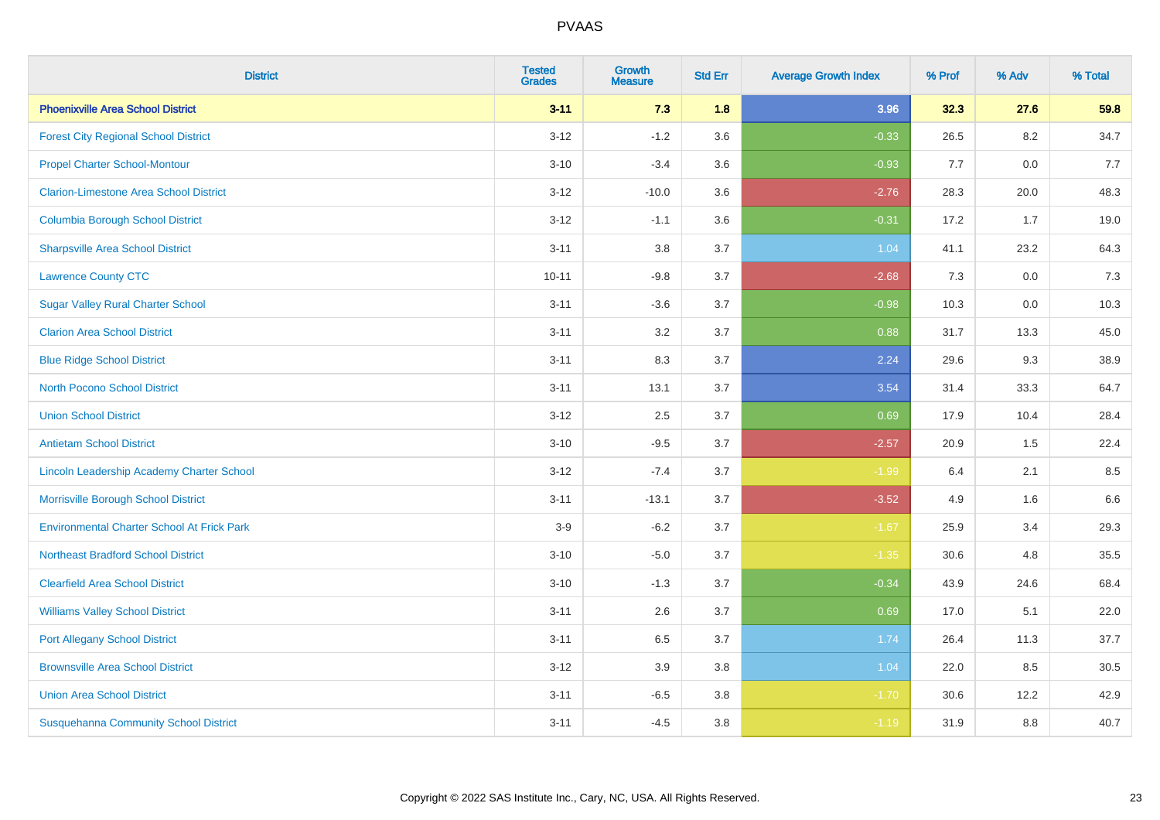| <b>District</b>                                   | <b>Tested</b><br><b>Grades</b> | <b>Growth</b><br><b>Measure</b> | <b>Std Err</b> | <b>Average Growth Index</b> | % Prof | % Adv   | % Total |
|---------------------------------------------------|--------------------------------|---------------------------------|----------------|-----------------------------|--------|---------|---------|
| <b>Phoenixville Area School District</b>          | $3 - 11$                       | 7.3                             | 1.8            | 3.96                        | 32.3   | 27.6    | 59.8    |
| <b>Forest City Regional School District</b>       | $3 - 12$                       | $-1.2$                          | 3.6            | $-0.33$                     | 26.5   | $8.2\,$ | 34.7    |
| <b>Propel Charter School-Montour</b>              | $3 - 10$                       | $-3.4$                          | 3.6            | $-0.93$                     | 7.7    | 0.0     | 7.7     |
| <b>Clarion-Limestone Area School District</b>     | $3 - 12$                       | $-10.0$                         | 3.6            | $-2.76$                     | 28.3   | 20.0    | 48.3    |
| <b>Columbia Borough School District</b>           | $3 - 12$                       | $-1.1$                          | 3.6            | $-0.31$                     | 17.2   | 1.7     | 19.0    |
| <b>Sharpsville Area School District</b>           | $3 - 11$                       | 3.8                             | 3.7            | 1.04                        | 41.1   | 23.2    | 64.3    |
| <b>Lawrence County CTC</b>                        | $10 - 11$                      | $-9.8$                          | 3.7            | $-2.68$                     | 7.3    | 0.0     | 7.3     |
| <b>Sugar Valley Rural Charter School</b>          | $3 - 11$                       | $-3.6$                          | 3.7            | $-0.98$                     | 10.3   | 0.0     | 10.3    |
| <b>Clarion Area School District</b>               | $3 - 11$                       | 3.2                             | 3.7            | 0.88                        | 31.7   | 13.3    | 45.0    |
| <b>Blue Ridge School District</b>                 | $3 - 11$                       | 8.3                             | 3.7            | 2.24                        | 29.6   | 9.3     | 38.9    |
| <b>North Pocono School District</b>               | $3 - 11$                       | 13.1                            | 3.7            | 3.54                        | 31.4   | 33.3    | 64.7    |
| <b>Union School District</b>                      | $3 - 12$                       | 2.5                             | 3.7            | 0.69                        | 17.9   | 10.4    | 28.4    |
| <b>Antietam School District</b>                   | $3 - 10$                       | $-9.5$                          | 3.7            | $-2.57$                     | 20.9   | 1.5     | 22.4    |
| Lincoln Leadership Academy Charter School         | $3 - 12$                       | $-7.4$                          | 3.7            | $-1.99$                     | 6.4    | 2.1     | 8.5     |
| Morrisville Borough School District               | $3 - 11$                       | $-13.1$                         | 3.7            | $-3.52$                     | 4.9    | 1.6     | 6.6     |
| <b>Environmental Charter School At Frick Park</b> | $3-9$                          | $-6.2$                          | 3.7            | $-1.67$                     | 25.9   | 3.4     | 29.3    |
| <b>Northeast Bradford School District</b>         | $3 - 10$                       | $-5.0$                          | 3.7            | $-1.35$                     | 30.6   | 4.8     | 35.5    |
| <b>Clearfield Area School District</b>            | $3 - 10$                       | $-1.3$                          | 3.7            | $-0.34$                     | 43.9   | 24.6    | 68.4    |
| <b>Williams Valley School District</b>            | $3 - 11$                       | 2.6                             | 3.7            | 0.69                        | 17.0   | 5.1     | 22.0    |
| <b>Port Allegany School District</b>              | $3 - 11$                       | 6.5                             | 3.7            | 1.74                        | 26.4   | 11.3    | 37.7    |
| <b>Brownsville Area School District</b>           | $3 - 12$                       | 3.9                             | 3.8            | 1.04                        | 22.0   | 8.5     | 30.5    |
| <b>Union Area School District</b>                 | $3 - 11$                       | $-6.5$                          | 3.8            | $-1.70$                     | 30.6   | 12.2    | 42.9    |
| <b>Susquehanna Community School District</b>      | $3 - 11$                       | $-4.5$                          | 3.8            | $-1.19$                     | 31.9   | 8.8     | 40.7    |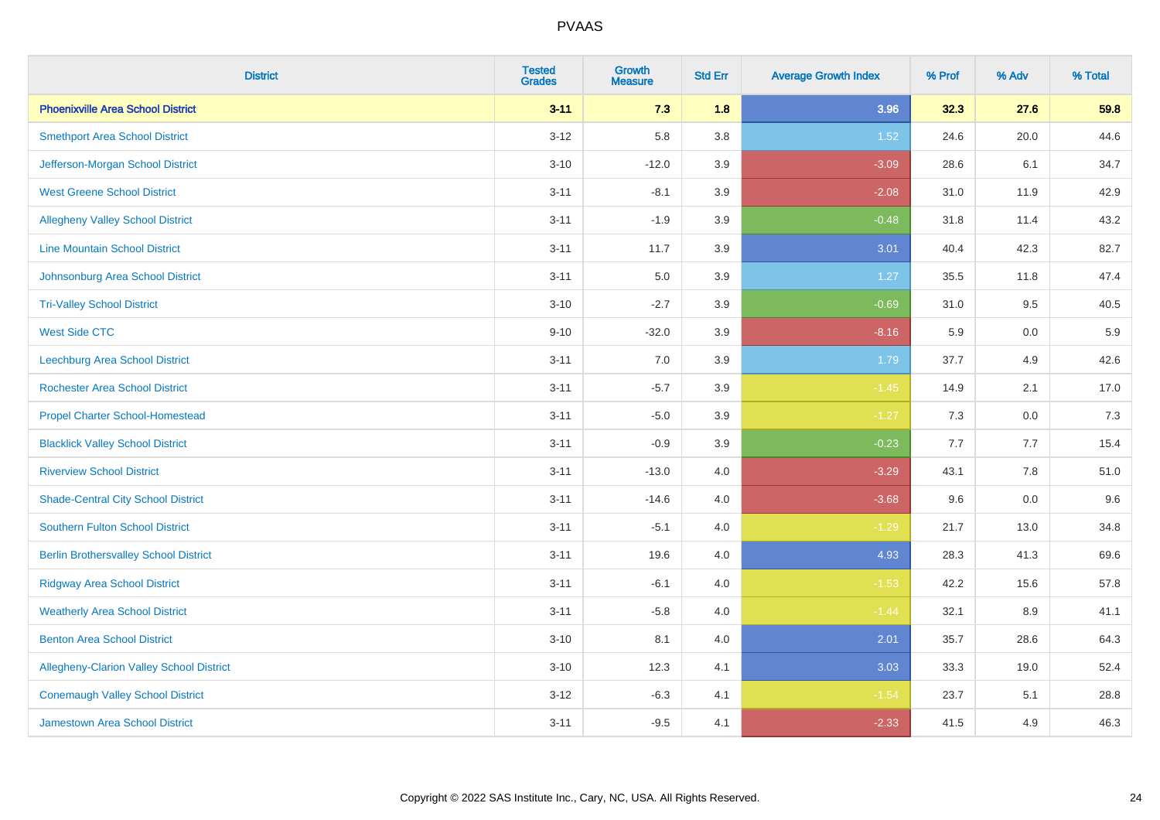| <b>District</b>                                 | <b>Tested</b><br><b>Grades</b> | <b>Growth</b><br><b>Measure</b> | <b>Std Err</b> | <b>Average Growth Index</b> | % Prof | % Adv | % Total |
|-------------------------------------------------|--------------------------------|---------------------------------|----------------|-----------------------------|--------|-------|---------|
| <b>Phoenixville Area School District</b>        | $3 - 11$                       | 7.3                             | 1.8            | 3.96                        | 32.3   | 27.6  | 59.8    |
| <b>Smethport Area School District</b>           | $3 - 12$                       | 5.8                             | 3.8            | 1.52                        | 24.6   | 20.0  | 44.6    |
| Jefferson-Morgan School District                | $3 - 10$                       | $-12.0$                         | 3.9            | $-3.09$                     | 28.6   | 6.1   | 34.7    |
| <b>West Greene School District</b>              | $3 - 11$                       | $-8.1$                          | 3.9            | $-2.08$                     | 31.0   | 11.9  | 42.9    |
| <b>Allegheny Valley School District</b>         | $3 - 11$                       | $-1.9$                          | 3.9            | $-0.48$                     | 31.8   | 11.4  | 43.2    |
| <b>Line Mountain School District</b>            | $3 - 11$                       | 11.7                            | 3.9            | 3.01                        | 40.4   | 42.3  | 82.7    |
| Johnsonburg Area School District                | $3 - 11$                       | 5.0                             | 3.9            | 1.27                        | 35.5   | 11.8  | 47.4    |
| <b>Tri-Valley School District</b>               | $3 - 10$                       | $-2.7$                          | 3.9            | $-0.69$                     | 31.0   | 9.5   | 40.5    |
| <b>West Side CTC</b>                            | $9 - 10$                       | $-32.0$                         | 3.9            | $-8.16$                     | 5.9    | 0.0   | $5.9\,$ |
| <b>Leechburg Area School District</b>           | $3 - 11$                       | 7.0                             | 3.9            | 1.79                        | 37.7   | 4.9   | 42.6    |
| <b>Rochester Area School District</b>           | $3 - 11$                       | $-5.7$                          | 3.9            | $-1.45$                     | 14.9   | 2.1   | 17.0    |
| <b>Propel Charter School-Homestead</b>          | $3 - 11$                       | $-5.0$                          | 3.9            | $-1.27$                     | 7.3    | 0.0   | 7.3     |
| <b>Blacklick Valley School District</b>         | $3 - 11$                       | $-0.9$                          | 3.9            | $-0.23$                     | 7.7    | 7.7   | 15.4    |
| <b>Riverview School District</b>                | $3 - 11$                       | $-13.0$                         | 4.0            | $-3.29$                     | 43.1   | 7.8   | 51.0    |
| <b>Shade-Central City School District</b>       | $3 - 11$                       | $-14.6$                         | 4.0            | $-3.68$                     | 9.6    | 0.0   | 9.6     |
| <b>Southern Fulton School District</b>          | $3 - 11$                       | $-5.1$                          | 4.0            | $-1.29$                     | 21.7   | 13.0  | 34.8    |
| <b>Berlin Brothersvalley School District</b>    | $3 - 11$                       | 19.6                            | 4.0            | 4.93                        | 28.3   | 41.3  | 69.6    |
| <b>Ridgway Area School District</b>             | $3 - 11$                       | $-6.1$                          | 4.0            | $-1.53$                     | 42.2   | 15.6  | 57.8    |
| <b>Weatherly Area School District</b>           | $3 - 11$                       | $-5.8$                          | 4.0            | $-1.44$                     | 32.1   | 8.9   | 41.1    |
| <b>Benton Area School District</b>              | $3 - 10$                       | 8.1                             | 4.0            | 2.01                        | 35.7   | 28.6  | 64.3    |
| <b>Allegheny-Clarion Valley School District</b> | $3 - 10$                       | 12.3                            | 4.1            | 3.03                        | 33.3   | 19.0  | 52.4    |
| <b>Conemaugh Valley School District</b>         | $3 - 12$                       | $-6.3$                          | 4.1            | $-1.54$                     | 23.7   | 5.1   | 28.8    |
| <b>Jamestown Area School District</b>           | $3 - 11$                       | $-9.5$                          | 4.1            | $-2.33$                     | 41.5   | 4.9   | 46.3    |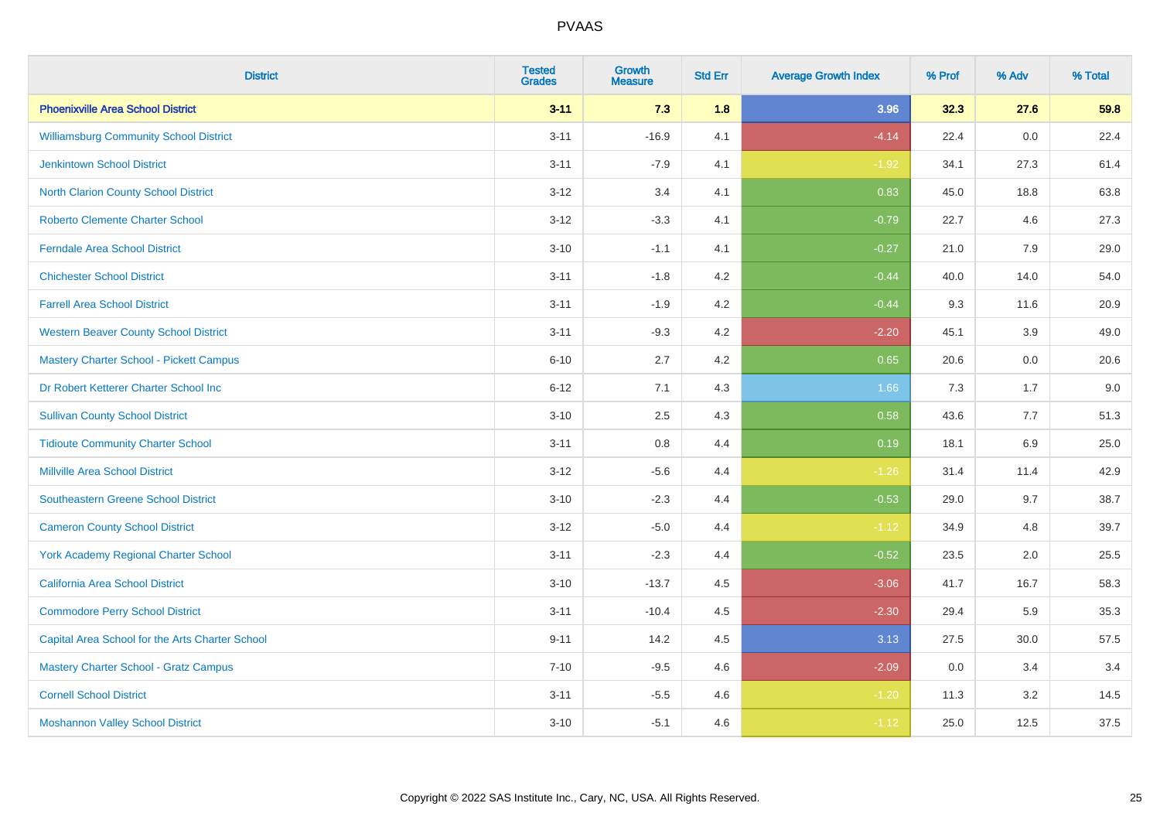| <b>District</b>                                 | <b>Tested</b><br><b>Grades</b> | <b>Growth</b><br><b>Measure</b> | <b>Std Err</b> | <b>Average Growth Index</b> | % Prof | % Adv | % Total |
|-------------------------------------------------|--------------------------------|---------------------------------|----------------|-----------------------------|--------|-------|---------|
| <b>Phoenixville Area School District</b>        | $3 - 11$                       | 7.3                             | 1.8            | 3.96                        | 32.3   | 27.6  | 59.8    |
| <b>Williamsburg Community School District</b>   | $3 - 11$                       | $-16.9$                         | 4.1            | $-4.14$                     | 22.4   | 0.0   | 22.4    |
| <b>Jenkintown School District</b>               | $3 - 11$                       | $-7.9$                          | 4.1            | $-1.92$                     | 34.1   | 27.3  | 61.4    |
| North Clarion County School District            | $3 - 12$                       | 3.4                             | 4.1            | 0.83                        | 45.0   | 18.8  | 63.8    |
| <b>Roberto Clemente Charter School</b>          | $3 - 12$                       | $-3.3$                          | 4.1            | $-0.79$                     | 22.7   | 4.6   | 27.3    |
| <b>Ferndale Area School District</b>            | $3 - 10$                       | $-1.1$                          | 4.1            | $-0.27$                     | 21.0   | 7.9   | 29.0    |
| <b>Chichester School District</b>               | $3 - 11$                       | $-1.8$                          | 4.2            | $-0.44$                     | 40.0   | 14.0  | 54.0    |
| <b>Farrell Area School District</b>             | $3 - 11$                       | $-1.9$                          | 4.2            | $-0.44$                     | 9.3    | 11.6  | 20.9    |
| <b>Western Beaver County School District</b>    | $3 - 11$                       | $-9.3$                          | 4.2            | $-2.20$                     | 45.1   | 3.9   | 49.0    |
| <b>Mastery Charter School - Pickett Campus</b>  | $6 - 10$                       | 2.7                             | 4.2            | 0.65                        | 20.6   | 0.0   | 20.6    |
| Dr Robert Ketterer Charter School Inc           | $6 - 12$                       | 7.1                             | 4.3            | 1.66                        | 7.3    | 1.7   | 9.0     |
| <b>Sullivan County School District</b>          | $3 - 10$                       | 2.5                             | 4.3            | 0.58                        | 43.6   | 7.7   | 51.3    |
| <b>Tidioute Community Charter School</b>        | $3 - 11$                       | $0.8\,$                         | 4.4            | 0.19                        | 18.1   | 6.9   | 25.0    |
| <b>Millville Area School District</b>           | $3 - 12$                       | $-5.6$                          | 4.4            | $-1.26$                     | 31.4   | 11.4  | 42.9    |
| <b>Southeastern Greene School District</b>      | $3 - 10$                       | $-2.3$                          | 4.4            | $-0.53$                     | 29.0   | 9.7   | 38.7    |
| <b>Cameron County School District</b>           | $3 - 12$                       | $-5.0$                          | 4.4            | $-1.12$                     | 34.9   | 4.8   | 39.7    |
| <b>York Academy Regional Charter School</b>     | $3 - 11$                       | $-2.3$                          | 4.4            | $-0.52$                     | 23.5   | 2.0   | 25.5    |
| California Area School District                 | $3 - 10$                       | $-13.7$                         | 4.5            | $-3.06$                     | 41.7   | 16.7  | 58.3    |
| <b>Commodore Perry School District</b>          | $3 - 11$                       | $-10.4$                         | 4.5            | $-2.30$                     | 29.4   | 5.9   | 35.3    |
| Capital Area School for the Arts Charter School | $9 - 11$                       | 14.2                            | 4.5            | 3.13                        | 27.5   | 30.0  | 57.5    |
| <b>Mastery Charter School - Gratz Campus</b>    | $7 - 10$                       | $-9.5$                          | 4.6            | $-2.09$                     | 0.0    | 3.4   | 3.4     |
| <b>Cornell School District</b>                  | $3 - 11$                       | $-5.5$                          | 4.6            | $-1.20$                     | 11.3   | 3.2   | 14.5    |
| <b>Moshannon Valley School District</b>         | $3 - 10$                       | $-5.1$                          | 4.6            | $-1.12$                     | 25.0   | 12.5  | 37.5    |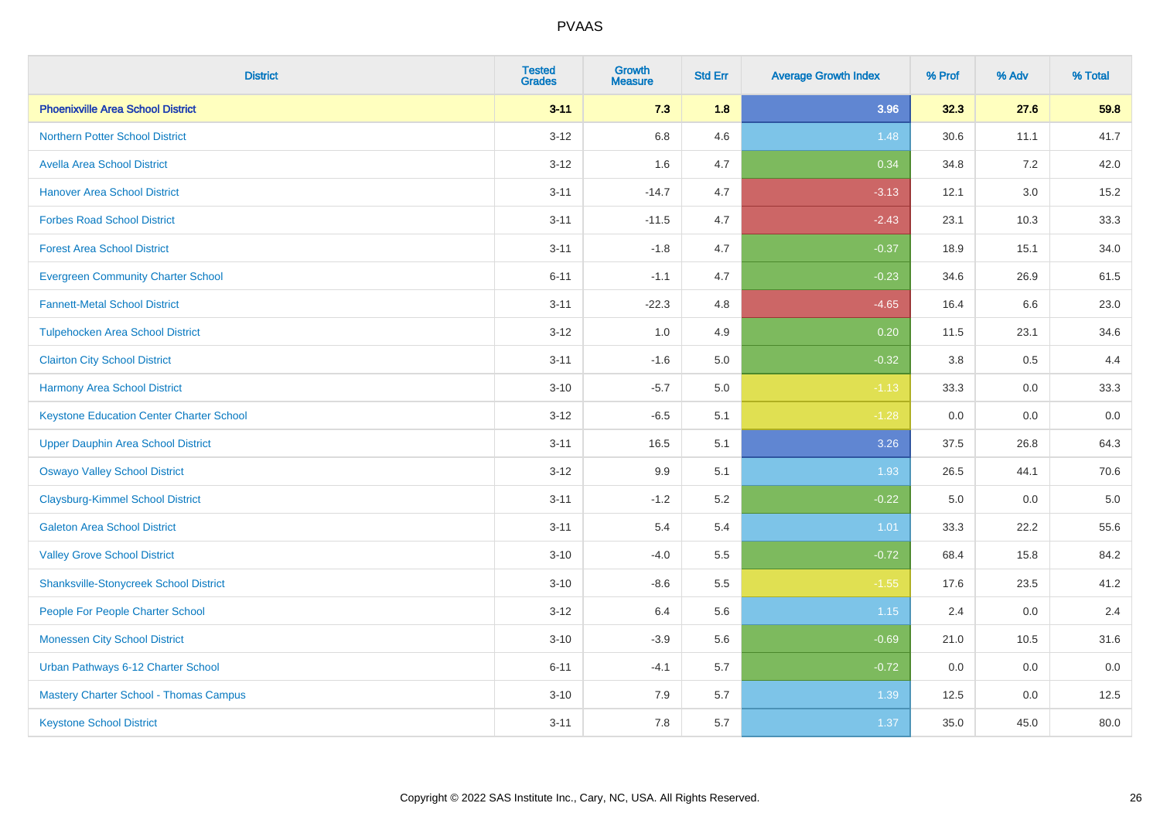| <b>District</b>                                 | <b>Tested</b><br><b>Grades</b> | <b>Growth</b><br><b>Measure</b> | <b>Std Err</b> | <b>Average Growth Index</b> | % Prof | % Adv   | % Total |
|-------------------------------------------------|--------------------------------|---------------------------------|----------------|-----------------------------|--------|---------|---------|
| <b>Phoenixville Area School District</b>        | $3 - 11$                       | 7.3                             | 1.8            | 3.96                        | 32.3   | 27.6    | 59.8    |
| <b>Northern Potter School District</b>          | $3 - 12$                       | 6.8                             | 4.6            | 1.48                        | 30.6   | 11.1    | 41.7    |
| <b>Avella Area School District</b>              | $3 - 12$                       | 1.6                             | 4.7            | 0.34                        | 34.8   | 7.2     | 42.0    |
| <b>Hanover Area School District</b>             | $3 - 11$                       | $-14.7$                         | 4.7            | $-3.13$                     | 12.1   | 3.0     | 15.2    |
| <b>Forbes Road School District</b>              | $3 - 11$                       | $-11.5$                         | 4.7            | $-2.43$                     | 23.1   | 10.3    | 33.3    |
| <b>Forest Area School District</b>              | $3 - 11$                       | $-1.8$                          | 4.7            | $-0.37$                     | 18.9   | 15.1    | 34.0    |
| <b>Evergreen Community Charter School</b>       | $6 - 11$                       | $-1.1$                          | 4.7            | $-0.23$                     | 34.6   | 26.9    | 61.5    |
| <b>Fannett-Metal School District</b>            | $3 - 11$                       | $-22.3$                         | 4.8            | $-4.65$                     | 16.4   | 6.6     | 23.0    |
| <b>Tulpehocken Area School District</b>         | $3 - 12$                       | 1.0                             | 4.9            | 0.20                        | 11.5   | 23.1    | 34.6    |
| <b>Clairton City School District</b>            | $3 - 11$                       | $-1.6$                          | 5.0            | $-0.32$                     | 3.8    | $0.5\,$ | 4.4     |
| <b>Harmony Area School District</b>             | $3 - 10$                       | $-5.7$                          | 5.0            | $-1.13$                     | 33.3   | 0.0     | 33.3    |
| <b>Keystone Education Center Charter School</b> | $3 - 12$                       | $-6.5$                          | 5.1            | $-1.28$                     | 0.0    | 0.0     | 0.0     |
| <b>Upper Dauphin Area School District</b>       | $3 - 11$                       | 16.5                            | 5.1            | 3.26                        | 37.5   | 26.8    | 64.3    |
| <b>Oswayo Valley School District</b>            | $3 - 12$                       | 9.9                             | 5.1            | 1.93                        | 26.5   | 44.1    | 70.6    |
| <b>Claysburg-Kimmel School District</b>         | $3 - 11$                       | $-1.2$                          | 5.2            | $-0.22$                     | 5.0    | 0.0     | $5.0\,$ |
| <b>Galeton Area School District</b>             | $3 - 11$                       | 5.4                             | 5.4            | 1.01                        | 33.3   | 22.2    | 55.6    |
| <b>Valley Grove School District</b>             | $3 - 10$                       | $-4.0$                          | 5.5            | $-0.72$                     | 68.4   | 15.8    | 84.2    |
| <b>Shanksville-Stonycreek School District</b>   | $3 - 10$                       | $-8.6$                          | 5.5            | $-1.55$                     | 17.6   | 23.5    | 41.2    |
| People For People Charter School                | $3-12$                         | 6.4                             | 5.6            | 1.15                        | 2.4    | 0.0     | 2.4     |
| <b>Monessen City School District</b>            | $3 - 10$                       | $-3.9$                          | 5.6            | $-0.69$                     | 21.0   | 10.5    | 31.6    |
| Urban Pathways 6-12 Charter School              | $6 - 11$                       | $-4.1$                          | 5.7            | $-0.72$                     | 0.0    | 0.0     | 0.0     |
| Mastery Charter School - Thomas Campus          | $3 - 10$                       | 7.9                             | 5.7            | 1.39                        | 12.5   | 0.0     | 12.5    |
| <b>Keystone School District</b>                 | $3 - 11$                       | 7.8                             | 5.7            | 1.37                        | 35.0   | 45.0    | 80.0    |